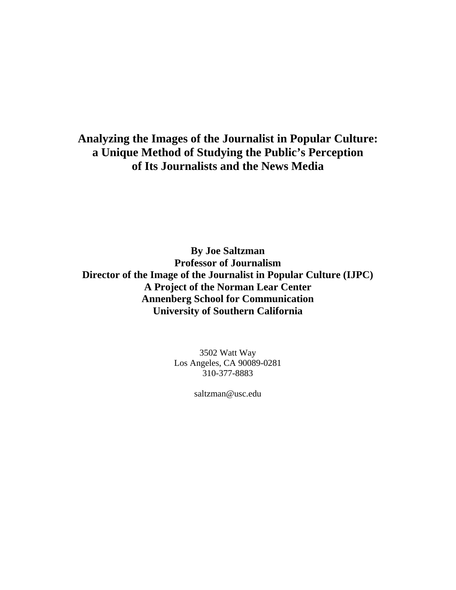**By Joe Saltzman Professor of Journalism Director of the Image of the Journalist in Popular Culture (IJPC) A Project of the Norman Lear Center Annenberg School for Communication University of Southern California** 

> 3502 Watt Way Los Angeles, CA 90089-0281 310-377-8883

> > saltzman@usc.edu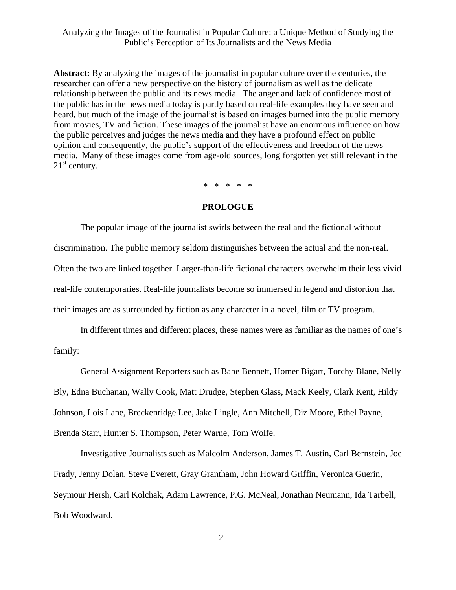**Abstract:** By analyzing the images of the journalist in popular culture over the centuries, the researcher can offer a new perspective on the history of journalism as well as the delicate relationship between the public and its news media. The anger and lack of confidence most of the public has in the news media today is partly based on real-life examples they have seen and heard, but much of the image of the journalist is based on images burned into the public memory from movies, TV and fiction. These images of the journalist have an enormous influence on how the public perceives and judges the news media and they have a profound effect on public opinion and consequently, the public's support of the effectiveness and freedom of the news media. Many of these images come from age-old sources, long forgotten yet still relevant in the  $21<sup>st</sup>$  century.

\* \* \* \* \*

#### **PROLOGUE**

 The popular image of the journalist swirls between the real and the fictional without discrimination. The public memory seldom distinguishes between the actual and the non-real. Often the two are linked together. Larger-than-life fictional characters overwhelm their less vivid real-life contemporaries. Real-life journalists become so immersed in legend and distortion that their images are as surrounded by fiction as any character in a novel, film or TV program.

 In different times and different places, these names were as familiar as the names of one's family:

 General Assignment Reporters such as Babe Bennett, Homer Bigart, Torchy Blane, Nelly Bly, Edna Buchanan, Wally Cook, Matt Drudge, Stephen Glass, Mack Keely, Clark Kent, Hildy Johnson, Lois Lane, Breckenridge Lee, Jake Lingle, Ann Mitchell, Diz Moore, Ethel Payne, Brenda Starr, Hunter S. Thompson, Peter Warne, Tom Wolfe.

 Investigative Journalists such as Malcolm Anderson, James T. Austin, Carl Bernstein, Joe Frady, Jenny Dolan, Steve Everett, Gray Grantham, John Howard Griffin, Veronica Guerin, Seymour Hersh, Carl Kolchak, Adam Lawrence, P.G. McNeal, Jonathan Neumann, Ida Tarbell, Bob Woodward.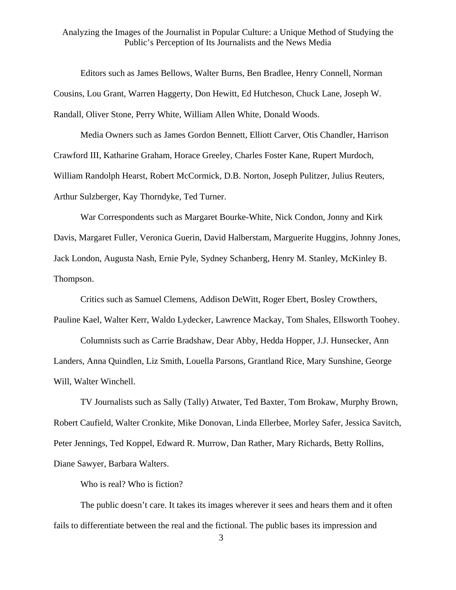Editors such as James Bellows, Walter Burns, Ben Bradlee, Henry Connell, Norman Cousins, Lou Grant, Warren Haggerty, Don Hewitt, Ed Hutcheson, Chuck Lane, Joseph W. Randall, Oliver Stone, Perry White, William Allen White, Donald Woods.

 Media Owners such as James Gordon Bennett, Elliott Carver, Otis Chandler, Harrison Crawford III, Katharine Graham, Horace Greeley, Charles Foster Kane, Rupert Murdoch, William Randolph Hearst, Robert McCormick, D.B. Norton, Joseph Pulitzer, Julius Reuters, Arthur Sulzberger, Kay Thorndyke, Ted Turner.

 War Correspondents such as Margaret Bourke-White, Nick Condon, Jonny and Kirk Davis, Margaret Fuller, Veronica Guerin, David Halberstam, Marguerite Huggins, Johnny Jones, Jack London, Augusta Nash, Ernie Pyle, Sydney Schanberg, Henry M. Stanley, McKinley B. Thompson.

 Critics such as Samuel Clemens, Addison DeWitt, Roger Ebert, Bosley Crowthers, Pauline Kael, Walter Kerr, Waldo Lydecker, Lawrence Mackay, Tom Shales, Ellsworth Toohey.

 Columnists such as Carrie Bradshaw, Dear Abby, Hedda Hopper, J.J. Hunsecker, Ann Landers, Anna Quindlen, Liz Smith, Louella Parsons, Grantland Rice, Mary Sunshine, George Will, Walter Winchell.

 TV Journalists such as Sally (Tally) Atwater, Ted Baxter, Tom Brokaw, Murphy Brown, Robert Caufield, Walter Cronkite, Mike Donovan, Linda Ellerbee, Morley Safer, Jessica Savitch, Peter Jennings, Ted Koppel, Edward R. Murrow, Dan Rather, Mary Richards, Betty Rollins, Diane Sawyer, Barbara Walters.

Who is real? Who is fiction?

 The public doesn't care. It takes its images wherever it sees and hears them and it often fails to differentiate between the real and the fictional. The public bases its impression and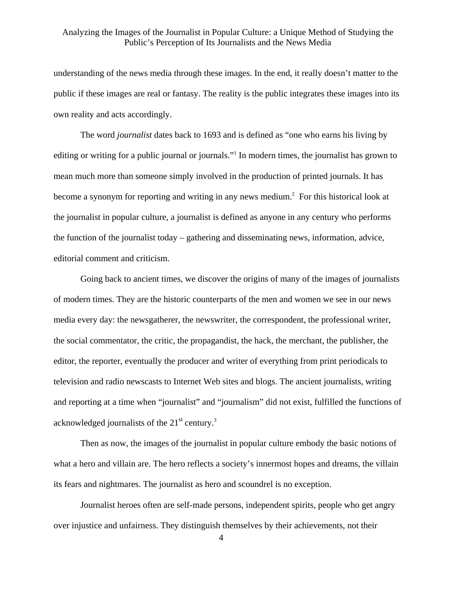understanding of the news media through these images. In the end, it really doesn't matter to the public if these images are real or fantasy. The reality is the public integrates these images into its own reality and acts accordingly.

The word *journalist* dates back to 1693 and is defined as "one who earns his living by editing or writing for a public journal or journals."<sup>1</sup> In modern times, the journalist has grown to mean much more than someone simply involved in the production of printed journals. It has become a synonym for reporting and writing in any news medium.<sup>2</sup> For this historical look at the journalist in popular culture, a journalist is defined as anyone in any century who performs the function of the journalist today – gathering and disseminating news, information, advice, editorial comment and criticism.

 Going back to ancient times, we discover the origins of many of the images of journalists of modern times. They are the historic counterparts of the men and women we see in our news media every day: the newsgatherer, the newswriter, the correspondent, the professional writer, the social commentator, the critic, the propagandist, the hack, the merchant, the publisher, the editor, the reporter, eventually the producer and writer of everything from print periodicals to television and radio newscasts to Internet Web sites and blogs. The ancient journalists, writing and reporting at a time when "journalist" and "journalism" did not exist, fulfilled the functions of acknowledged journalists of the  $21<sup>st</sup>$  century.<sup>3</sup>

 Then as now, the images of the journalist in popular culture embody the basic notions of what a hero and villain are. The hero reflects a society's innermost hopes and dreams, the villain its fears and nightmares. The journalist as hero and scoundrel is no exception.

Journalist heroes often are self-made persons, independent spirits, people who get angry over injustice and unfairness. They distinguish themselves by their achievements, not their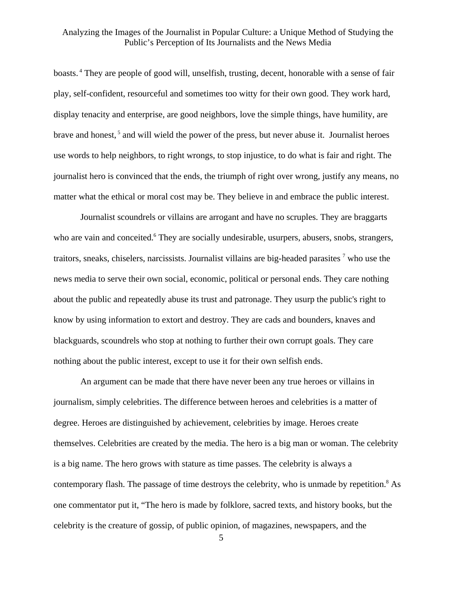boasts. [4](#page-50-3) They are people of good will, unselfish, trusting, decent, honorable with a sense of fair play, self-confident, resourceful and sometimes too witty for their own good. They work hard, display tenacity and enterprise, are good neighbors, love the simple things, have humility, are brave and honest,<sup>5</sup> and will wield the power of the press, but never abuse it. Journalist heroes use words to help neighbors, to right wrongs, to stop injustice, to do what is fair and right. The journalist hero is convinced that the ends, the triumph of right over wrong, justify any means, no matter what the ethical or moral cost may be. They believe in and embrace the public interest.

Journalist scoundrels or villains are arrogant and have no scruples. They are braggarts who are vain and conceited.<sup>6</sup> They are socially undesirable, usurpers, abusers, snobs, strangers, traitors, sneaks, chiselers, narcissists. Journalist villains are big-headed parasites  $<sup>7</sup>$  who use the</sup> news media to serve their own social, economic, political or personal ends. They care nothing about the public and repeatedly abuse its trust and patronage. They usurp the public's right to know by using information to extort and destroy. They are cads and bounders, knaves and blackguards, scoundrels who stop at nothing to further their own corrupt goals. They care nothing about the public interest, except to use it for their own selfish ends.

 An argument can be made that there have never been any true heroes or villains in journalism, simply celebrities. The difference between heroes and celebrities is a matter of degree. Heroes are distinguished by achievement, celebrities by image. Heroes create themselves. Celebrities are created by the media. The hero is a big man or woman. The celebrity is a big name. The hero grows with stature as time passes. The celebrity is always a contemporary flash. The passage of time destroys the celebrity, who is unmade by repetition.<sup>[8](#page-50-7)</sup> As one commentator put it, "The hero is made by folklore, sacred texts, and history books, but the celebrity is the creature of gossip, of public opinion, of magazines, newspapers, and the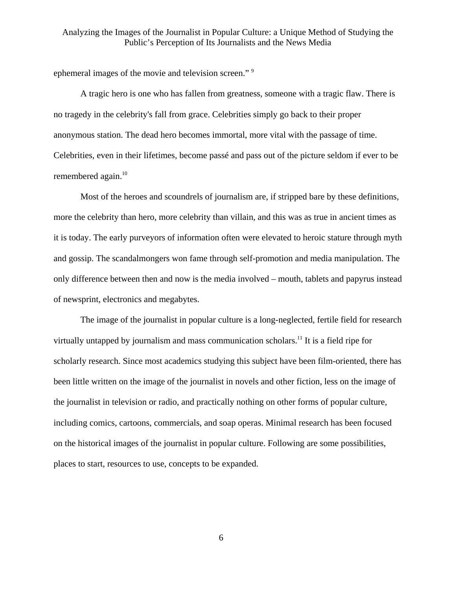ephemeral images of the movie and television screen."<sup>[9](#page-50-8)</sup>

A tragic hero is one who has fallen from greatness, someone with a tragic flaw. There is no tragedy in the celebrity's fall from grace. Celebrities simply go back to their proper anonymous station. The dead hero becomes immortal, more vital with the passage of time. Celebrities, even in their lifetimes, become passé and pass out of the picture seldom if ever to be remembered again.<sup>10</sup>

Most of the heroes and scoundrels of journalism are, if stripped bare by these definitions, more the celebrity than hero, more celebrity than villain, and this was as true in ancient times as it is today. The early purveyors of information often were elevated to heroic stature through myth and gossip. The scandalmongers won fame through self-promotion and media manipulation. The only difference between then and now is the media involved – mouth, tablets and papyrus instead of newsprint, electronics and megabytes.

 The image of the journalist in popular culture is a long-neglected, fertile field for research virtually untapped by journalism and mass communication scholars.<sup>11</sup> It is a field ripe for scholarly research. Since most academics studying this subject have been film-oriented, there has been little written on the image of the journalist in novels and other fiction, less on the image of the journalist in television or radio, and practically nothing on other forms of popular culture, including comics, cartoons, commercials, and soap operas. Minimal research has been focused on the historical images of the journalist in popular culture. Following are some possibilities, places to start, resources to use, concepts to be expanded.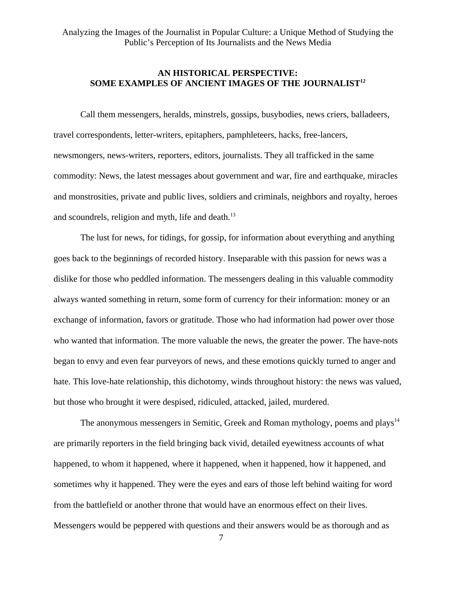# **AN HISTORICAL PERSPECTIVE: SOME EXAMPLES OF ANCIENT IMAGES OF THE JOURNALIST[12](#page-50-11)**

Call them messengers, heralds, minstrels, gossips, busybodies, news criers, balladeers, travel correspondents, letter-writers, epitaphers, pamphleteers, hacks, free-lancers, newsmongers, news-writers, reporters, editors, journalists. They all trafficked in the same commodity: News, the latest messages about government and war, fire and earthquake, miracles and monstrosities, private and public lives, soldiers and criminals, neighbors and royalty, heroes and scoundrels, religion and myth, life and death.<sup>13</sup>

 The lust for news, for tidings, for gossip, for information about everything and anything goes back to the beginnings of recorded history. Inseparable with this passion for news was a dislike for those who peddled information. The messengers dealing in this valuable commodity always wanted something in return, some form of currency for their information: money or an exchange of information, favors or gratitude. Those who had information had power over those who wanted that information. The more valuable the news, the greater the power. The have-nots began to envy and even fear purveyors of news, and these emotions quickly turned to anger and hate. This love-hate relationship, this dichotomy, winds throughout history: the news was valued, but those who brought it were despised, ridiculed, attacked, jailed, murdered.

The anonymous messengers in Semitic, Greek and Roman mythology, poems and plays<sup>[14](#page-50-13)</sup> are primarily reporters in the field bringing back vivid, detailed eyewitness accounts of what happened, to whom it happened, where it happened, when it happened, how it happened, and sometimes why it happened. They were the eyes and ears of those left behind waiting for word from the battlefield or another throne that would have an enormous effect on their lives. Messengers would be peppered with questions and their answers would be as thorough and as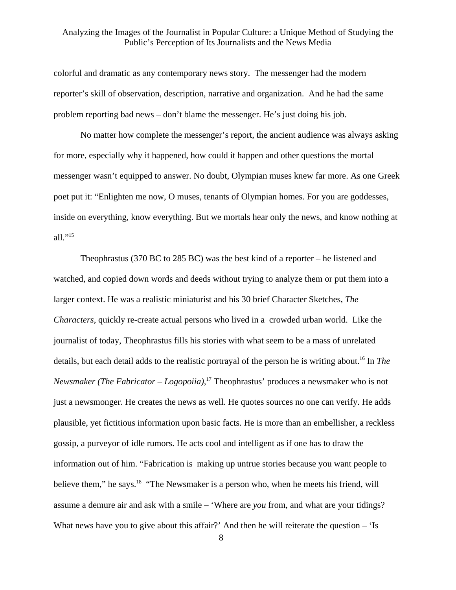colorful and dramatic as any contemporary news story. The messenger had the modern reporter's skill of observation, description, narrative and organization. And he had the same problem reporting bad news – don't blame the messenger. He's just doing his job.

 No matter how complete the messenger's report, the ancient audience was always asking for more, especially why it happened, how could it happen and other questions the mortal messenger wasn't equipped to answer. No doubt, Olympian muses knew far more. As one Greek poet put it: "Enlighten me now, O muses, tenants of Olympian homes. For you are goddesses, inside on everything, know everything. But we mortals hear only the news, and know nothing at all."[15](#page-50-14)

 Theophrastus (370 BC to 285 BC) was the best kind of a reporter – he listened and watched, and copied down words and deeds without trying to analyze them or put them into a larger context. He was a realistic miniaturist and his 30 brief Character Sketches, *The Characters*, quickly re-create actual persons who lived in a crowded urban world. Like the journalist of today, Theophrastus fills his stories with what seem to be a mass of unrelated details, but each detail adds to the realistic portrayal of the person he is writing about.<sup>16</sup> In *The Newsmaker (The Fabricator – Logopoiia)*, [17](#page-50-16) Theophrastus' produces a newsmaker who is not just a newsmonger. He creates the news as well. He quotes sources no one can verify. He adds plausible, yet fictitious information upon basic facts. He is more than an embellisher, a reckless gossip, a purveyor of idle rumors. He acts cool and intelligent as if one has to draw the information out of him. "Fabrication is making up untrue stories because you want people to believe them," he says.<sup>18</sup> "The Newsmaker is a person who, when he meets his friend, will assume a demure air and ask with a smile – 'Where are *you* from, and what are your tidings? What news have you to give about this affair?' And then he will reiterate the question  $-$  'Is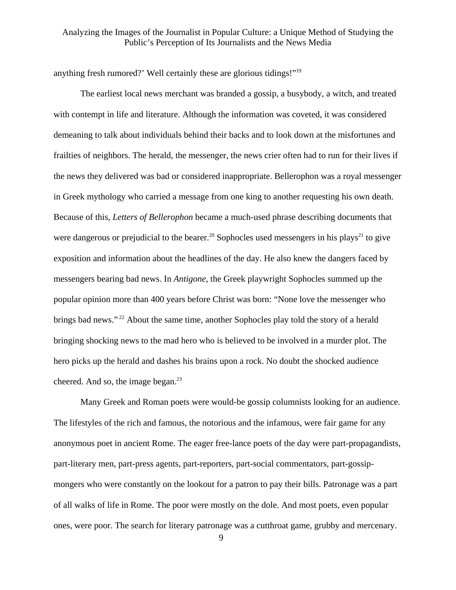anything fresh rumored?' Well certainly these are glorious tidings!"[19](#page-50-18)

 The earliest local news merchant was branded a gossip, a busybody, a witch, and treated with contempt in life and literature. Although the information was coveted, it was considered demeaning to talk about individuals behind their backs and to look down at the misfortunes and frailties of neighbors. The herald, the messenger, the news crier often had to run for their lives if the news they delivered was bad or considered inappropriate. Bellerophon was a royal messenger in Greek mythology who carried a message from one king to another requesting his own death. Because of this, *Letters of Bellerophon* became a much-used phrase describing documents that were dangerous or prejudicial to the bearer.<sup>20</sup> Sophocles used messengers in his plays<sup>21</sup> to give exposition and information about the headlines of the day. He also knew the dangers faced by messengers bearing bad news. In *Antigone*, the Greek playwright Sophocles summed up the popular opinion more than 400 years before Christ was born: "None love the messenger who brings bad news."<sup>22</sup> About the same time, another Sophocles play told the story of a herald bringing shocking news to the mad hero who is believed to be involved in a murder plot. The hero picks up the herald and dashes his brains upon a rock. No doubt the shocked audience cheered. And so, the image began. $23$ 

 Many Greek and Roman poets were would-be gossip columnists looking for an audience. The lifestyles of the rich and famous, the notorious and the infamous, were fair game for any anonymous poet in ancient Rome. The eager free-lance poets of the day were part-propagandists, part-literary men, part-press agents, part-reporters, part-social commentators, part-gossipmongers who were constantly on the lookout for a patron to pay their bills. Patronage was a part of all walks of life in Rome. The poor were mostly on the dole. And most poets, even popular ones, were poor. The search for literary patronage was a cutthroat game, grubby and mercenary.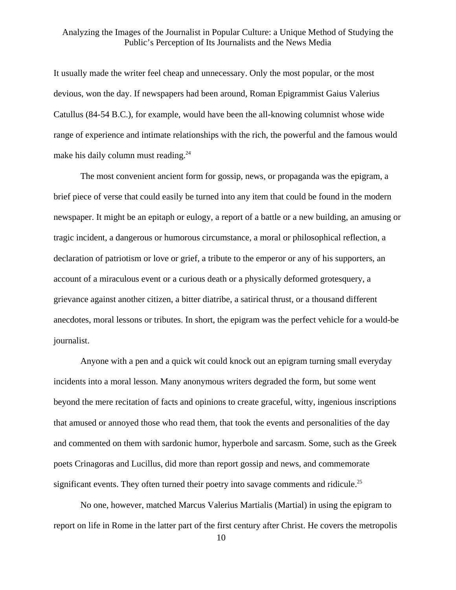It usually made the writer feel cheap and unnecessary. Only the most popular, or the most devious, won the day. If newspapers had been around, Roman Epigrammist Gaius Valerius Catullus (84-54 B.C.), for example, would have been the all-knowing columnist whose wide range of experience and intimate relationships with the rich, the powerful and the famous would make his daily column must reading.<sup>24</sup>

 The most convenient ancient form for gossip, news, or propaganda was the epigram, a brief piece of verse that could easily be turned into any item that could be found in the modern newspaper. It might be an epitaph or eulogy, a report of a battle or a new building, an amusing or tragic incident, a dangerous or humorous circumstance, a moral or philosophical reflection, a declaration of patriotism or love or grief, a tribute to the emperor or any of his supporters, an account of a miraculous event or a curious death or a physically deformed grotesquery, a grievance against another citizen, a bitter diatribe, a satirical thrust, or a thousand different anecdotes, moral lessons or tributes. In short, the epigram was the perfect vehicle for a would-be journalist.

 Anyone with a pen and a quick wit could knock out an epigram turning small everyday incidents into a moral lesson. Many anonymous writers degraded the form, but some went beyond the mere recitation of facts and opinions to create graceful, witty, ingenious inscriptions that amused or annoyed those who read them, that took the events and personalities of the day and commented on them with sardonic humor, hyperbole and sarcasm. Some, such as the Greek poets Crinagoras and Lucillus, did more than report gossip and news, and commemorate significant events. They often turned their poetry into savage comments and ridicule.<sup>25</sup>

 No one, however, matched Marcus Valerius Martialis (Martial) in using the epigram to report on life in Rome in the latter part of the first century after Christ. He covers the metropolis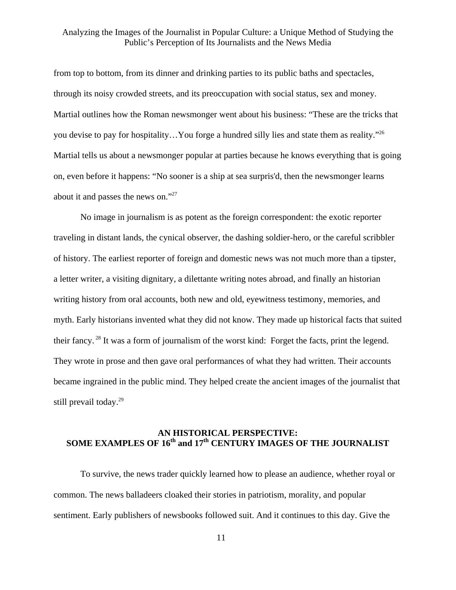from top to bottom, from its dinner and drinking parties to its public baths and spectacles, through its noisy crowded streets, and its preoccupation with social status, sex and money. Martial outlines how the Roman newsmonger went about his business: "These are the tricks that you devise to pay for hospitality…You forge a hundred silly lies and state them as reality.["26](#page-50-24) Martial tells us about a newsmonger popular at parties because he knows everything that is going on, even before it happens: "No sooner is a ship at sea surpris'd, then the newsmonger learns about it and passes the news on."[27](#page-50-25)

 No image in journalism is as potent as the foreign correspondent: the exotic reporter traveling in distant lands, the cynical observer, the dashing soldier-hero, or the careful scribbler of history. The earliest reporter of foreign and domestic news was not much more than a tipster, a letter writer, a visiting dignitary, a dilettante writing notes abroad, and finally an historian writing history from oral accounts, both new and old, eyewitness testimony, memories, and myth. Early historians invented what they did not know. They made up historical facts that suited their fancy. [28](#page-50-26) It was a form of journalism of the worst kind: Forget the facts, print the legend. They wrote in prose and then gave oral performances of what they had written. Their accounts became ingrained in the public mind. They helped create the ancient images of the journalist that still prevail today.<sup>29</sup>

# **AN HISTORICAL PERSPECTIVE:**  SOME EXAMPLES OF 16<sup>th</sup> and 17<sup>th</sup> CENTURY IMAGES OF THE JOURNALIST

To survive, the news trader quickly learned how to please an audience, whether royal or common. The news balladeers cloaked their stories in patriotism, morality, and popular sentiment. Early publishers of newsbooks followed suit. And it continues to this day. Give the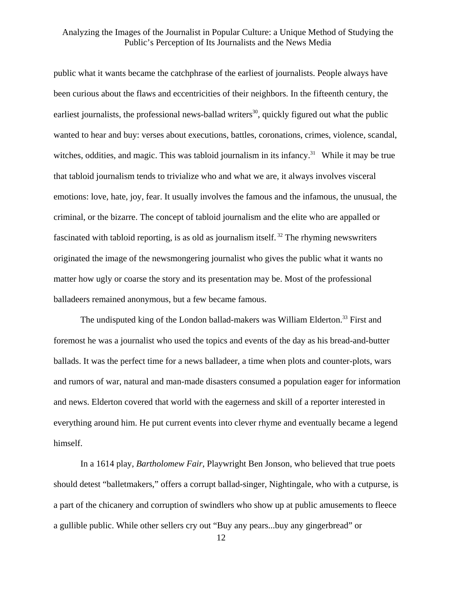public what it wants became the catchphrase of the earliest of journalists. People always have been curious about the flaws and eccentricities of their neighbors. In the fifteenth century, the earliest journalists, the professional news-ballad writers<sup>30</sup>, quickly figured out what the public wanted to hear and buy: verses about executions, battles, coronations, crimes, violence, scandal, witches, oddities, and magic. This was tabloid journalism in its infancy.<sup>31</sup> While it may be true that tabloid journalism tends to trivialize who and what we are, it always involves visceral emotions: love, hate, joy, fear. It usually involves the famous and the infamous, the unusual, the criminal, or the bizarre. The concept of tabloid journalism and the elite who are appalled or fascinated with tabloid reporting, is as old as journalism itself.<sup>32</sup> The rhyming newswriters originated the image of the newsmongering journalist who gives the public what it wants no matter how ugly or coarse the story and its presentation may be. Most of the professional balladeers remained anonymous, but a few became famous.

The undisputed king of the London ballad-makers was William Elderton.<sup>33</sup> First and foremost he was a journalist who used the topics and events of the day as his bread-and-butter ballads. It was the perfect time for a news balladeer, a time when plots and counter-plots, wars and rumors of war, natural and man-made disasters consumed a population eager for information and news. Elderton covered that world with the eagerness and skill of a reporter interested in everything around him. He put current events into clever rhyme and eventually became a legend himself.

 In a 1614 play, *Bartholomew Fair*, Playwright Ben Jonson, who believed that true poets should detest "balletmakers," offers a corrupt ballad-singer, Nightingale, who with a cutpurse, is a part of the chicanery and corruption of swindlers who show up at public amusements to fleece a gullible public. While other sellers cry out "Buy any pears...buy any gingerbread" or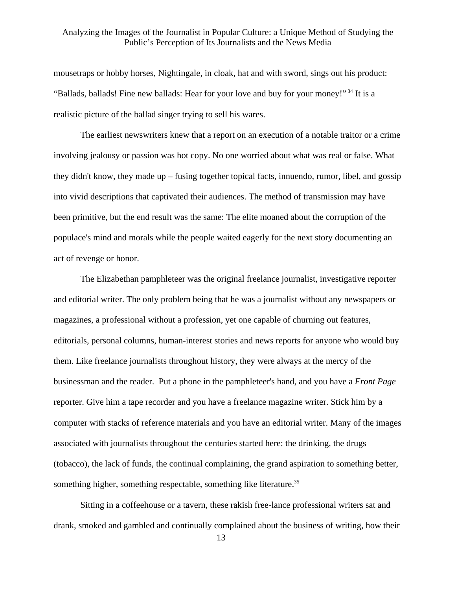mousetraps or hobby horses, Nightingale, in cloak, hat and with sword, sings out his product: "Ballads, ballads! Fine new ballads: Hear for your love and buy for your money!"<sup>34</sup> It is a realistic picture of the ballad singer trying to sell his wares.

The earliest newswriters knew that a report on an execution of a notable traitor or a crime involving jealousy or passion was hot copy. No one worried about what was real or false. What they didn't know, they made up – fusing together topical facts, innuendo, rumor, libel, and gossip into vivid descriptions that captivated their audiences. The method of transmission may have been primitive, but the end result was the same: The elite moaned about the corruption of the populace's mind and morals while the people waited eagerly for the next story documenting an act of revenge or honor.

 The Elizabethan pamphleteer was the original freelance journalist, investigative reporter and editorial writer. The only problem being that he was a journalist without any newspapers or magazines, a professional without a profession, yet one capable of churning out features, editorials, personal columns, human-interest stories and news reports for anyone who would buy them. Like freelance journalists throughout history, they were always at the mercy of the businessman and the reader. Put a phone in the pamphleteer's hand, and you have a *Front Page* reporter. Give him a tape recorder and you have a freelance magazine writer. Stick him by a computer with stacks of reference materials and you have an editorial writer. Many of the images associated with journalists throughout the centuries started here: the drinking, the drugs (tobacco), the lack of funds, the continual complaining, the grand aspiration to something better, something higher, something respectable, something like literature.<sup>35</sup>

 Sitting in a coffeehouse or a tavern, these rakish free-lance professional writers sat and drank, smoked and gambled and continually complained about the business of writing, how their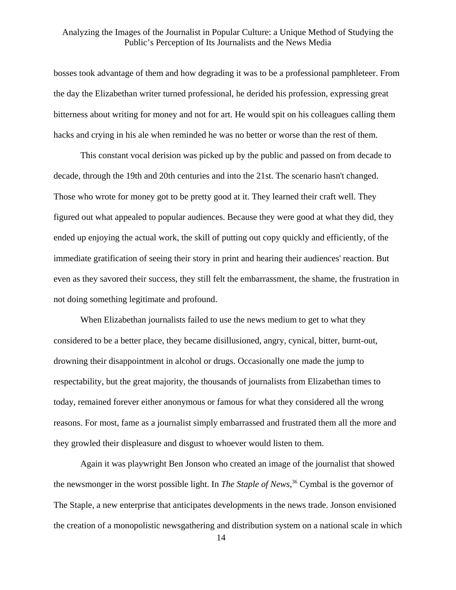bosses took advantage of them and how degrading it was to be a professional pamphleteer. From the day the Elizabethan writer turned professional, he derided his profession, expressing great bitterness about writing for money and not for art. He would spit on his colleagues calling them hacks and crying in his ale when reminded he was no better or worse than the rest of them.

 This constant vocal derision was picked up by the public and passed on from decade to decade, through the 19th and 20th centuries and into the 21st. The scenario hasn't changed. Those who wrote for money got to be pretty good at it. They learned their craft well. They figured out what appealed to popular audiences. Because they were good at what they did, they ended up enjoying the actual work, the skill of putting out copy quickly and efficiently, of the immediate gratification of seeing their story in print and hearing their audiences' reaction. But even as they savored their success, they still felt the embarrassment, the shame, the frustration in not doing something legitimate and profound.

 When Elizabethan journalists failed to use the news medium to get to what they considered to be a better place, they became disillusioned, angry, cynical, bitter, burnt-out, drowning their disappointment in alcohol or drugs. Occasionally one made the jump to respectability, but the great majority, the thousands of journalists from Elizabethan times to today, remained forever either anonymous or famous for what they considered all the wrong reasons. For most, fame as a journalist simply embarrassed and frustrated them all the more and they growled their displeasure and disgust to whoever would listen to them.

 Again it was playwright Ben Jonson who created an image of the journalist that showed the newsmonger in the worst possible light. In *The Staple of News*, [36](#page-50-32) Cymbal is the governor of The Staple, a new enterprise that anticipates developments in the news trade. Jonson envisioned the creation of a monopolistic newsgathering and distribution system on a national scale in which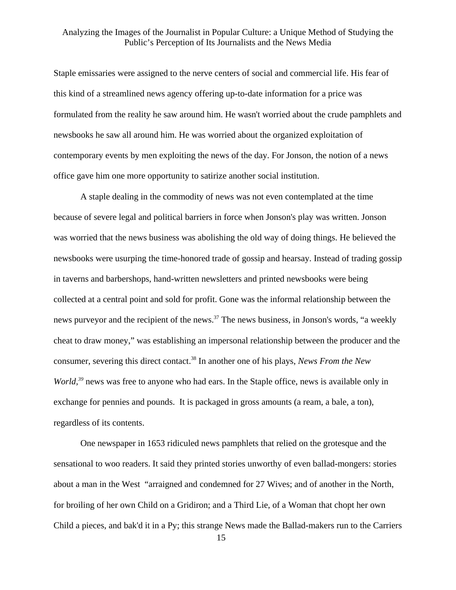Staple emissaries were assigned to the nerve centers of social and commercial life. His fear of this kind of a streamlined news agency offering up-to-date information for a price was formulated from the reality he saw around him. He wasn't worried about the crude pamphlets and newsbooks he saw all around him. He was worried about the organized exploitation of contemporary events by men exploiting the news of the day. For Jonson, the notion of a news office gave him one more opportunity to satirize another social institution.

 A staple dealing in the commodity of news was not even contemplated at the time because of severe legal and political barriers in force when Jonson's play was written. Jonson was worried that the news business was abolishing the old way of doing things. He believed the newsbooks were usurping the time-honored trade of gossip and hearsay. Instead of trading gossip in taverns and barbershops, hand-written newsletters and printed newsbooks were being collected at a central point and sold for profit. Gone was the informal relationship between the news purveyor and the recipient of the news.<sup>37</sup> The news business, in Jonson's words, "a weekly cheat to draw money," was establishing an impersonal relationship between the producer and the consumer, severing this direct contact[.38](#page-50-29) In another one of his plays, *News From the New World*<sup>39</sup> news was free to anyone who had ears. In the Staple office, news is available only in exchange for pennies and pounds. It is packaged in gross amounts (a ream, a bale, a ton), regardless of its contents.

 One newspaper in 1653 ridiculed news pamphlets that relied on the grotesque and the sensational to woo readers. It said they printed stories unworthy of even ballad-mongers: stories about a man in the West "arraigned and condemned for 27 Wives; and of another in the North, for broiling of her own Child on a Gridiron; and a Third Lie, of a Woman that chopt her own Child a pieces, and bak'd it in a Py; this strange News made the Ballad-makers run to the Carriers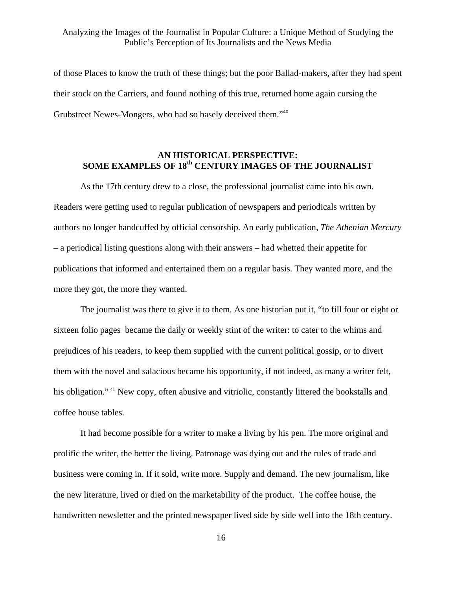of those Places to know the truth of these things; but the poor Ballad-makers, after they had spent their stock on the Carriers, and found nothing of this true, returned home again cursing the Grubstreet Newes-Mongers, who had so basely deceived them."[40](#page-50-18)

# **AN HISTORICAL PERSPECTIVE:**  SOME EXAMPLES OF 18<sup>th</sup> CENTURY IMAGES OF THE JOURNALIST

 As the 17th century drew to a close, the professional journalist came into his own. Readers were getting used to regular publication of newspapers and periodicals written by authors no longer handcuffed by official censorship. An early publication, *The Athenian Mercury* – a periodical listing questions along with their answers – had whetted their appetite for publications that informed and entertained them on a regular basis. They wanted more, and the more they got, the more they wanted.

 The journalist was there to give it to them. As one historian put it, "to fill four or eight or sixteen folio pages became the daily or weekly stint of the writer: to cater to the whims and prejudices of his readers, to keep them supplied with the current political gossip, or to divert them with the novel and salacious became his opportunity, if not indeed, as many a writer felt, his obligation."<sup>41</sup> New copy, often abusive and vitriolic, constantly littered the bookstalls and coffee house tables.

 It had become possible for a writer to make a living by his pen. The more original and prolific the writer, the better the living. Patronage was dying out and the rules of trade and business were coming in. If it sold, write more. Supply and demand. The new journalism, like the new literature, lived or died on the marketability of the product. The coffee house, the handwritten newsletter and the printed newspaper lived side by side well into the 18th century.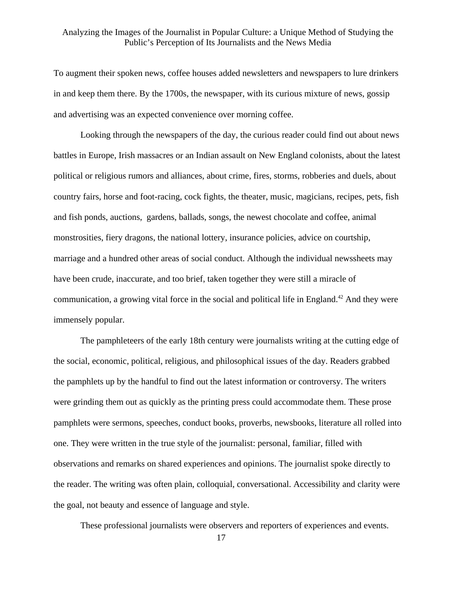To augment their spoken news, coffee houses added newsletters and newspapers to lure drinkers in and keep them there. By the 1700s, the newspaper, with its curious mixture of news, gossip and advertising was an expected convenience over morning coffee.

 Looking through the newspapers of the day, the curious reader could find out about news battles in Europe, Irish massacres or an Indian assault on New England colonists, about the latest political or religious rumors and alliances, about crime, fires, storms, robberies and duels, about country fairs, horse and foot-racing, cock fights, the theater, music, magicians, recipes, pets, fish and fish ponds, auctions, gardens, ballads, songs, the newest chocolate and coffee, animal monstrosities, fiery dragons, the national lottery, insurance policies, advice on courtship, marriage and a hundred other areas of social conduct. Although the individual newssheets may have been crude, inaccurate, and too brief, taken together they were still a miracle of communication, a growing vital force in the social and political life in England.<sup>42</sup> And they were immensely popular.

 The pamphleteers of the early 18th century were journalists writing at the cutting edge of the social, economic, political, religious, and philosophical issues of the day. Readers grabbed the pamphlets up by the handful to find out the latest information or controversy. The writers were grinding them out as quickly as the printing press could accommodate them. These prose pamphlets were sermons, speeches, conduct books, proverbs, newsbooks, literature all rolled into one. They were written in the true style of the journalist: personal, familiar, filled with observations and remarks on shared experiences and opinions. The journalist spoke directly to the reader. The writing was often plain, colloquial, conversational. Accessibility and clarity were the goal, not beauty and essence of language and style.

These professional journalists were observers and reporters of experiences and events.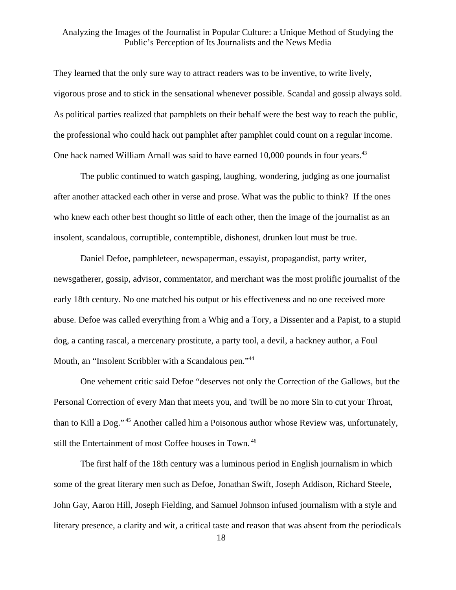They learned that the only sure way to attract readers was to be inventive, to write lively, vigorous prose and to stick in the sensational whenever possible. Scandal and gossip always sold. As political parties realized that pamphlets on their behalf were the best way to reach the public, the professional who could hack out pamphlet after pamphlet could count on a regular income. One hack named William Arnall was said to have earned 10,000 pounds in four years.<sup>[43](#page-50-36)</sup>

 The public continued to watch gasping, laughing, wondering, judging as one journalist after another attacked each other in verse and prose. What was the public to think? If the ones who knew each other best thought so little of each other, then the image of the journalist as an insolent, scandalous, corruptible, contemptible, dishonest, drunken lout must be true.

 Daniel Defoe, pamphleteer, newspaperman, essayist, propagandist, party writer, newsgatherer, gossip, advisor, commentator, and merchant was the most prolific journalist of the early 18th century. No one matched his output or his effectiveness and no one received more abuse. Defoe was called everything from a Whig and a Tory, a Dissenter and a Papist, to a stupid dog, a canting rascal, a mercenary prostitute, a party tool, a devil, a hackney author, a Foul Mouth, an "Insolent Scribbler with a Scandalous pen."<sup>44</sup>

 One vehement critic said Defoe "deserves not only the Correction of the Gallows, but the Personal Correction of every Man that meets you, and 'twill be no more Sin to cut your Throat, than to Kill a Dog." [45](#page-50-20) Another called him a Poisonous author whose Review was, unfortunately, still the Entertainment of most Coffee houses in Town. [46](#page-50-37)

 The first half of the 18th century was a luminous period in English journalism in which some of the great literary men such as Defoe, Jonathan Swift, Joseph Addison, Richard Steele, John Gay, Aaron Hill, Joseph Fielding, and Samuel Johnson infused journalism with a style and literary presence, a clarity and wit, a critical taste and reason that was absent from the periodicals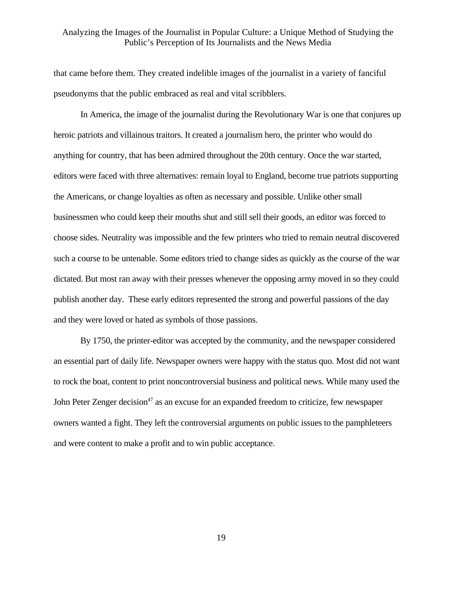that came before them. They created indelible images of the journalist in a variety of fanciful pseudonyms that the public embraced as real and vital scribblers.

 In America, the image of the journalist during the Revolutionary War is one that conjures up heroic patriots and villainous traitors. It created a journalism hero, the printer who would do anything for country, that has been admired throughout the 20th century. Once the war started, editors were faced with three alternatives: remain loyal to England, become true patriots supporting the Americans, or change loyalties as often as necessary and possible. Unlike other small businessmen who could keep their mouths shut and still sell their goods, an editor was forced to choose sides. Neutrality was impossible and the few printers who tried to remain neutral discovered such a course to be untenable. Some editors tried to change sides as quickly as the course of the war dictated. But most ran away with their presses whenever the opposing army moved in so they could publish another day. These early editors represented the strong and powerful passions of the day and they were loved or hated as symbols of those passions.

 By 1750, the printer-editor was accepted by the community, and the newspaper considered an essential part of daily life. Newspaper owners were happy with the status quo. Most did not want to rock the boat, content to print noncontroversial business and political news. While many used the John Peter Zenger decision<sup>47</sup> as an excuse for an expanded freedom to criticize, few newspaper owners wanted a fight. They left the controversial arguments on public issues to the pamphleteers and were content to make a profit and to win public acceptance.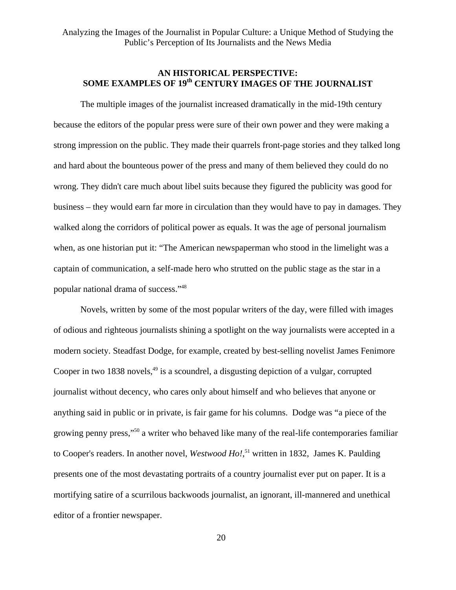#### **AN HISTORICAL PERSPECTIVE:**  SOME EXAMPLES OF 19<sup>th</sup> CENTURY IMAGES OF THE JOURNALIST

 The multiple images of the journalist increased dramatically in the mid-19th century because the editors of the popular press were sure of their own power and they were making a strong impression on the public. They made their quarrels front-page stories and they talked long and hard about the bounteous power of the press and many of them believed they could do no wrong. They didn't care much about libel suits because they figured the publicity was good for business – they would earn far more in circulation than they would have to pay in damages. They walked along the corridors of political power as equals. It was the age of personal journalism when, as one historian put it: "The American newspaperman who stood in the limelight was a captain of communication, a self-made hero who strutted on the public stage as the star in a popular national drama of success."[48](#page-50-39)

 Novels, written by some of the most popular writers of the day, were filled with images of odious and righteous journalists shining a spotlight on the way journalists were accepted in a modern society. Steadfast Dodge, for example, created by best-selling novelist James Fenimore Cooper in two 1838 novels,  $49$  is a scoundrel, a disgusting depiction of a vulgar, corrupted journalist without decency, who cares only about himself and who believes that anyone or anything said in public or in private, is fair game for his columns. Dodge was "a piece of the growing penny press,["50](#page-50-41) a writer who behaved like many of the real-life contemporaries familiar to Cooper's readers. In another novel, *Westwood Ho!*, [51 w](#page-50-42)ritten in 1832, James K. Paulding presents one of the most devastating portraits of a country journalist ever put on paper. It is a mortifying satire of a scurrilous backwoods journalist, an ignorant, ill-mannered and unethical editor of a frontier newspaper.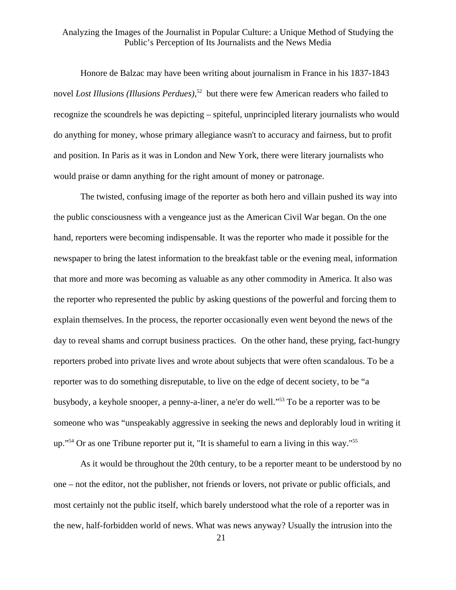Honore de Balzac may have been writing about journalism in France in his 1837-1843 novel *Lost Illusions (Illusions Perdues)*, [52](#page-50-31) but there were few American readers who failed to recognize the scoundrels he was depicting – spiteful, unprincipled literary journalists who would do anything for money, whose primary allegiance wasn't to accuracy and fairness, but to profit and position. In Paris as it was in London and New York, there were literary journalists who would praise or damn anything for the right amount of money or patronage.

 The twisted, confusing image of the reporter as both hero and villain pushed its way into the public consciousness with a vengeance just as the American Civil War began. On the one hand, reporters were becoming indispensable. It was the reporter who made it possible for the newspaper to bring the latest information to the breakfast table or the evening meal, information that more and more was becoming as valuable as any other commodity in America. It also was the reporter who represented the public by asking questions of the powerful and forcing them to explain themselves. In the process, the reporter occasionally even went beyond the news of the day to reveal shams and corrupt business practices. On the other hand, these prying, fact-hungry reporters probed into private lives and wrote about subjects that were often scandalous. To be a reporter was to do something disreputable, to live on the edge of decent society, to be "a busybody, a keyhole snooper, a penny-a-liner, a ne'er do well.["53](#page-50-43) To be a reporter was to be someone who was "unspeakably aggressive in seeking the news and deplorably loud in writing it up."<sup>54</sup> Or as one Tribune reporter put it, "It is shameful to earn a living in this way."<sup>[55](#page-50-25)</sup>

 As it would be throughout the 20th century, to be a reporter meant to be understood by no one – not the editor, not the publisher, not friends or lovers, not private or public officials, and most certainly not the public itself, which barely understood what the role of a reporter was in the new, half-forbidden world of news. What was news anyway? Usually the intrusion into the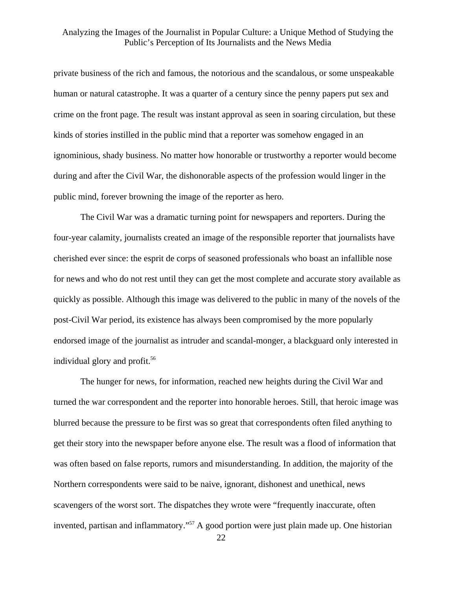private business of the rich and famous, the notorious and the scandalous, or some unspeakable human or natural catastrophe. It was a quarter of a century since the penny papers put sex and crime on the front page. The result was instant approval as seen in soaring circulation, but these kinds of stories instilled in the public mind that a reporter was somehow engaged in an ignominious, shady business. No matter how honorable or trustworthy a reporter would become during and after the Civil War, the dishonorable aspects of the profession would linger in the public mind, forever browning the image of the reporter as hero.

 The Civil War was a dramatic turning point for newspapers and reporters. During the four-year calamity, journalists created an image of the responsible reporter that journalists have cherished ever since: the esprit de corps of seasoned professionals who boast an infallible nose for news and who do not rest until they can get the most complete and accurate story available as quickly as possible. Although this image was delivered to the public in many of the novels of the post-Civil War period, its existence has always been compromised by the more popularly endorsed image of the journalist as intruder and scandal-monger, a blackguard only interested in individual glory and profit. $56$ 

 The hunger for news, for information, reached new heights during the Civil War and turned the war correspondent and the reporter into honorable heroes. Still, that heroic image was blurred because the pressure to be first was so great that correspondents often filed anything to get their story into the newspaper before anyone else. The result was a flood of information that was often based on false reports, rumors and misunderstanding. In addition, the majority of the Northern correspondents were said to be naive, ignorant, dishonest and unethical, news scavengers of the worst sort. The dispatches they wrote were "frequently inaccurate, often invented, partisan and inflammatory."<sup>57</sup> A good portion were just plain made up. One historian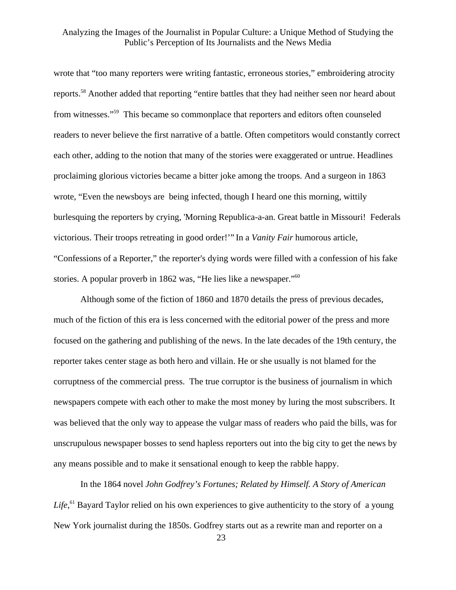wrote that "too many reporters were writing fantastic, erroneous stories," embroidering atrocity reports[.58](#page-50-46) Another added that reporting "entire battles that they had neither seen nor heard about from witnesses."[59](#page-50-14) This became so commonplace that reporters and editors often counseled readers to never believe the first narrative of a battle. Often competitors would constantly correct each other, adding to the notion that many of the stories were exaggerated or untrue. Headlines proclaiming glorious victories became a bitter joke among the troops. And a surgeon in 1863 wrote, "Even the newsboys are being infected, though I heard one this morning, wittily burlesquing the reporters by crying, 'Morning Republica-a-an. Great battle in Missouri! Federals victorious. Their troops retreating in good order!'" In a *Vanity Fair* humorous article, "Confessions of a Reporter," the reporter's dying words were filled with a confession of his fake stories. A popular proverb in 1862 was, "He lies like a newspaper."<sup>60</sup>

 Although some of the fiction of 1860 and 1870 details the press of previous decades, much of the fiction of this era is less concerned with the editorial power of the press and more focused on the gathering and publishing of the news. In the late decades of the 19th century, the reporter takes center stage as both hero and villain. He or she usually is not blamed for the corruptness of the commercial press. The true corruptor is the business of journalism in which newspapers compete with each other to make the most money by luring the most subscribers. It was believed that the only way to appease the vulgar mass of readers who paid the bills, was for unscrupulous newspaper bosses to send hapless reporters out into the big city to get the news by any means possible and to make it sensational enough to keep the rabble happy.

 In the 1864 novel *John Godfrey's Fortunes; Related by Himself. A Story of American*  Life,<sup>61</sup> Bayard Taylor relied on his own experiences to give authenticity to the story of a young New York journalist during the 1850s. Godfrey starts out as a rewrite man and reporter on a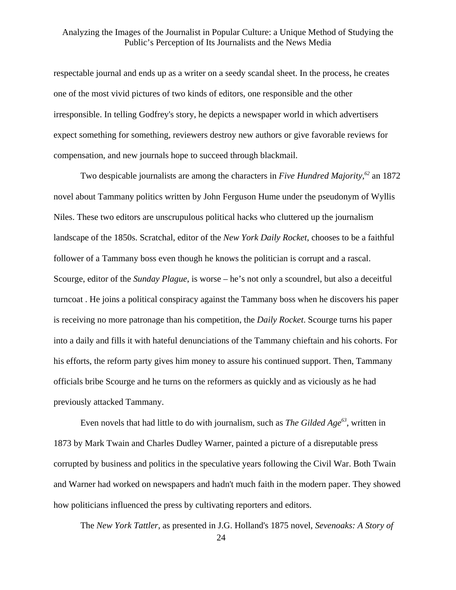respectable journal and ends up as a writer on a seedy scandal sheet. In the process, he creates one of the most vivid pictures of two kinds of editors, one responsible and the other irresponsible. In telling Godfrey's story, he depicts a newspaper world in which advertisers expect something for something, reviewers destroy new authors or give favorable reviews for compensation, and new journals hope to succeed through blackmail.

 Two despicable journalists are among the characters in *Five Hundred Majority,[62](#page-50-15)* an 1872 novel about Tammany politics written by John Ferguson Hume under the pseudonym of Wyllis Niles. These two editors are unscrupulous political hacks who cluttered up the journalism landscape of the 1850s. Scratchal, editor of the *New York Daily Rocket*, chooses to be a faithful follower of a Tammany boss even though he knows the politician is corrupt and a rascal. Scourge, editor of the *Sunday Plague*, is worse – he's not only a scoundrel, but also a deceitful turncoat . He joins a political conspiracy against the Tammany boss when he discovers his paper is receiving no more patronage than his competition, the *Daily Rocket*. Scourge turns his paper into a daily and fills it with hateful denunciations of the Tammany chieftain and his cohorts. For his efforts, the reform party gives him money to assure his continued support. Then, Tammany officials bribe Scourge and he turns on the reformers as quickly and as viciously as he had previously attacked Tammany.

 Even novels that had little to do with journalism, such as *The Gilded Age[63](#page-50-29)*, written in 1873 by Mark Twain and Charles Dudley Warner, painted a picture of a disreputable press corrupted by business and politics in the speculative years following the Civil War. Both Twain and Warner had worked on newspapers and hadn't much faith in the modern paper. They showed how politicians influenced the press by cultivating reporters and editors.

The *New York Tattler*, as presented in J.G. Holland's 1875 novel, *Sevenoaks: A Story of*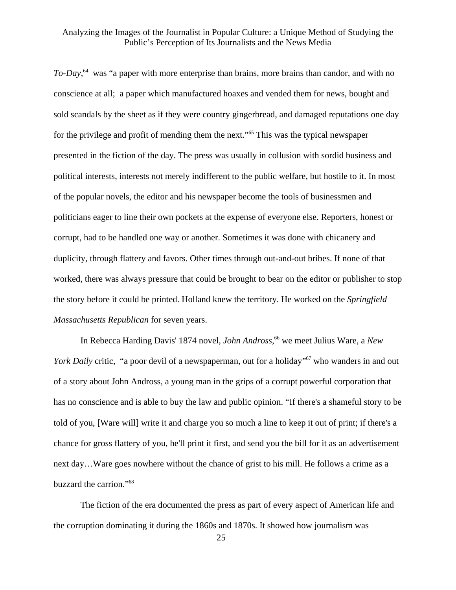*To-Day*, [64](#page-50-33) was "a paper with more enterprise than brains, more brains than candor, and with no conscience at all; a paper which manufactured hoaxes and vended them for news, bought and sold scandals by the sheet as if they were country gingerbread, and damaged reputations one day for the privilege and profit of mending them the next."[65 T](#page-50-17)his was the typical newspaper presented in the fiction of the day. The press was usually in collusion with sordid business and political interests, interests not merely indifferent to the public welfare, but hostile to it. In most of the popular novels, the editor and his newspaper become the tools of businessmen and politicians eager to line their own pockets at the expense of everyone else. Reporters, honest or corrupt, had to be handled one way or another. Sometimes it was done with chicanery and duplicity, through flattery and favors. Other times through out-and-out bribes. If none of that worked, there was always pressure that could be brought to bear on the editor or publisher to stop the story before it could be printed. Holland knew the territory. He worked on the *Springfield Massachusetts Republican* for seven years.

 In Rebecca Harding Davis' 1874 novel, *John Andross*, [66 w](#page-50-18)e meet Julius Ware, a *New York Daily* critic, "a poor devil of a newspaperman, out for a holiday"<sup>67</sup> who wanders in and out of a story about John Andross, a young man in the grips of a corrupt powerful corporation that has no conscience and is able to buy the law and public opinion. "If there's a shameful story to be told of you, [Ware will] write it and charge you so much a line to keep it out of print; if there's a chance for gross flattery of you, he'll print it first, and send you the bill for it as an advertisement next day…Ware goes nowhere without the chance of grist to his mill. He follows a crime as a buzzard the carrion."[68](#page-50-34)

 The fiction of the era documented the press as part of every aspect of American life and the corruption dominating it during the 1860s and 1870s. It showed how journalism was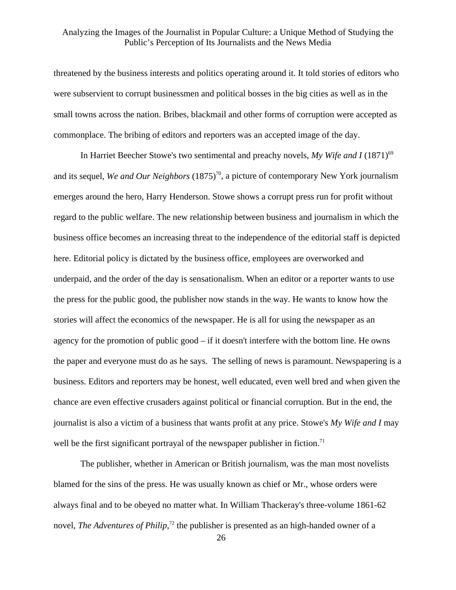threatened by the business interests and politics operating around it. It told stories of editors who were subservient to corrupt businessmen and political bosses in the big cities as well as in the small towns across the nation. Bribes, blackmail and other forms of corruption were accepted as commonplace. The bribing of editors and reporters was an accepted image of the day.

In Harriet Beecher Stowe's two sentimental and preachy novels, My Wife and I (1871)<sup>[69](#page-50-35)</sup> and its sequel, *We and Our Neighbors* (1875)<sup>70</sup>, a picture of contemporary New York journalism emerges around the hero, Harry Henderson. Stowe shows a corrupt press run for profit without regard to the public welfare. The new relationship between business and journalism in which the business office becomes an increasing threat to the independence of the editorial staff is depicted here. Editorial policy is dictated by the business office, employees are overworked and underpaid, and the order of the day is sensationalism. When an editor or a reporter wants to use the press for the public good, the publisher now stands in the way. He wants to know how the stories will affect the economics of the newspaper. He is all for using the newspaper as an agency for the promotion of public good – if it doesn't interfere with the bottom line. He owns the paper and everyone must do as he says. The selling of news is paramount. Newspapering is a business. Editors and reporters may be honest, well educated, even well bred and when given the chance are even effective crusaders against political or financial corruption. But in the end, the journalist is also a victim of a business that wants profit at any price. Stowe's *My Wife and I* may well be the first significant portrayal of the newspaper publisher in fiction.<sup>71</sup>

 The publisher, whether in American or British journalism, was the man most novelists blamed for the sins of the press. He was usually known as chief or Mr., whose orders were always final and to be obeyed no matter what. In William Thackeray's three-volume 1861-62 novel, *The Adventures of Philip*,<sup>72</sup> the publisher is presented as an high-handed owner of a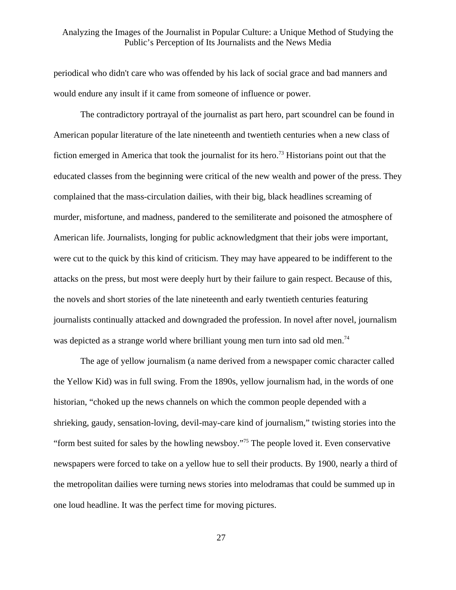periodical who didn't care who was offended by his lack of social grace and bad manners and would endure any insult if it came from someone of influence or power.

 The contradictory portrayal of the journalist as part hero, part scoundrel can be found in American popular literature of the late nineteenth and twentieth centuries when a new class of fiction emerged in America that took the journalist for its hero.<sup>73</sup> Historians point out that the educated classes from the beginning were critical of the new wealth and power of the press. They complained that the mass-circulation dailies, with their big, black headlines screaming of murder, misfortune, and madness, pandered to the semiliterate and poisoned the atmosphere of American life. Journalists, longing for public acknowledgment that their jobs were important, were cut to the quick by this kind of criticism. They may have appeared to be indifferent to the attacks on the press, but most were deeply hurt by their failure to gain respect. Because of this, the novels and short stories of the late nineteenth and early twentieth centuries featuring journalists continually attacked and downgraded the profession. In novel after novel, journalism was depicted as a strange world where brilliant young men turn into sad old men.<sup>74</sup>

 The age of yellow journalism (a name derived from a newspaper comic character called the Yellow Kid) was in full swing. From the 1890s, yellow journalism had, in the words of one historian, "choked up the news channels on which the common people depended with a shrieking, gaudy, sensation-loving, devil-may-care kind of journalism," twisting stories into the "form best suited for sales by the howling newsboy.["75](#page-50-42) The people loved it. Even conservative newspapers were forced to take on a yellow hue to sell their products. By 1900, nearly a third of the metropolitan dailies were turning news stories into melodramas that could be summed up in one loud headline. It was the perfect time for moving pictures.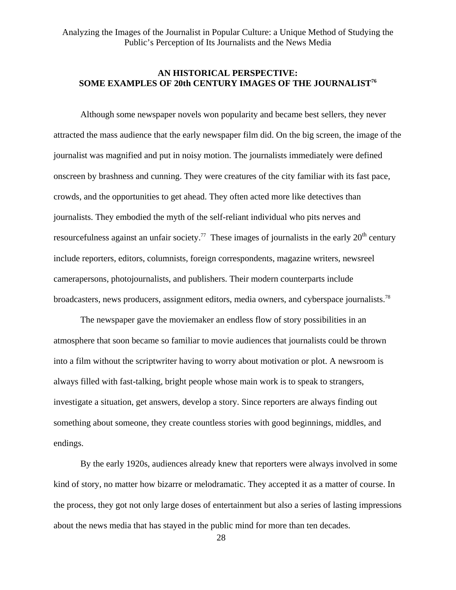# **AN HISTORICAL PERSPECTIVE: SOME EXAMPLES OF 20th CENTURY IMAGES OF THE JOURNALIS[T76](#page-50-31)**

 Although some newspaper novels won popularity and became best sellers, they never attracted the mass audience that the early newspaper film did. On the big screen, the image of the journalist was magnified and put in noisy motion. The journalists immediately were defined onscreen by brashness and cunning. They were creatures of the city familiar with its fast pace, crowds, and the opportunities to get ahead. They often acted more like detectives than journalists. They embodied the myth of the self-reliant individual who pits nerves and resourcefulness against an unfair society.<sup>77</sup> These images of journalists in the early  $20<sup>th</sup>$  century include reporters, editors, columnists, foreign correspondents, magazine writers, newsreel camerapersons, photojournalists, and publishers. Their modern counterparts include broadcasters, news producers, assignment editors, media owners, and cyberspace journalists[.78](#page-50-33)

 The newspaper gave the moviemaker an endless flow of story possibilities in an atmosphere that soon became so familiar to movie audiences that journalists could be thrown into a film without the scriptwriter having to worry about motivation or plot. A newsroom is always filled with fast-talking, bright people whose main work is to speak to strangers, investigate a situation, get answers, develop a story. Since reporters are always finding out something about someone, they create countless stories with good beginnings, middles, and endings.

 By the early 1920s, audiences already knew that reporters were always involved in some kind of story, no matter how bizarre or melodramatic. They accepted it as a matter of course. In the process, they got not only large doses of entertainment but also a series of lasting impressions about the news media that has stayed in the public mind for more than ten decades.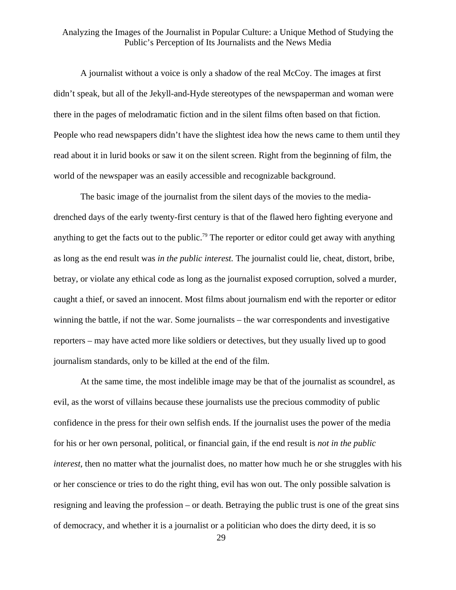A journalist without a voice is only a shadow of the real McCoy. The images at first didn't speak, but all of the Jekyll-and-Hyde stereotypes of the newspaperman and woman were there in the pages of melodramatic fiction and in the silent films often based on that fiction. People who read newspapers didn't have the slightest idea how the news came to them until they read about it in lurid books or saw it on the silent screen. Right from the beginning of film, the world of the newspaper was an easily accessible and recognizable background.

 The basic image of the journalist from the silent days of the movies to the mediadrenched days of the early twenty-first century is that of the flawed hero fighting everyone and anything to get the facts out to the public.<sup>79</sup> The reporter or editor could get away with anything as long as the end result was *in the public interest.* The journalist could lie, cheat, distort, bribe, betray, or violate any ethical code as long as the journalist exposed corruption, solved a murder, caught a thief, or saved an innocent. Most films about journalism end with the reporter or editor winning the battle, if not the war. Some journalists – the war correspondents and investigative reporters – may have acted more like soldiers or detectives, but they usually lived up to good journalism standards, only to be killed at the end of the film.

At the same time, the most indelible image may be that of the journalist as scoundrel, as evil, as the worst of villains because these journalists use the precious commodity of public confidence in the press for their own selfish ends. If the journalist uses the power of the media for his or her own personal, political, or financial gain, if the end result is *not in the public interest*, then no matter what the journalist does, no matter how much he or she struggles with his or her conscience or tries to do the right thing, evil has won out. The only possible salvation is resigning and leaving the profession – or death. Betraying the public trust is one of the great sins of democracy, and whether it is a journalist or a politician who does the dirty deed, it is so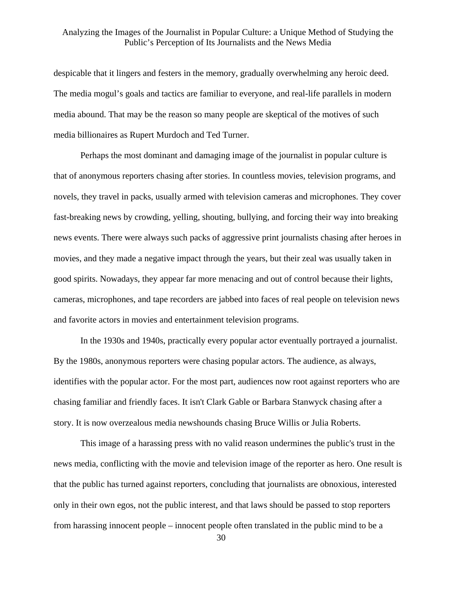despicable that it lingers and festers in the memory, gradually overwhelming any heroic deed. The media mogul's goals and tactics are familiar to everyone, and real-life parallels in modern media abound. That may be the reason so many people are skeptical of the motives of such media billionaires as Rupert Murdoch and Ted Turner.

 Perhaps the most dominant and damaging image of the journalist in popular culture is that of anonymous reporters chasing after stories. In countless movies, television programs, and novels, they travel in packs, usually armed with television cameras and microphones. They cover fast-breaking news by crowding, yelling, shouting, bullying, and forcing their way into breaking news events. There were always such packs of aggressive print journalists chasing after heroes in movies, and they made a negative impact through the years, but their zeal was usually taken in good spirits. Nowadays, they appear far more menacing and out of control because their lights, cameras, microphones, and tape recorders are jabbed into faces of real people on television news and favorite actors in movies and entertainment television programs.

 In the 1930s and 1940s, practically every popular actor eventually portrayed a journalist. By the 1980s, anonymous reporters were chasing popular actors. The audience, as always, identifies with the popular actor. For the most part, audiences now root against reporters who are chasing familiar and friendly faces. It isn't Clark Gable or Barbara Stanwyck chasing after a story. It is now overzealous media newshounds chasing Bruce Willis or Julia Roberts.

 This image of a harassing press with no valid reason undermines the public's trust in the news media, conflicting with the movie and television image of the reporter as hero. One result is that the public has turned against reporters, concluding that journalists are obnoxious, interested only in their own egos, not the public interest, and that laws should be passed to stop reporters from harassing innocent people – innocent people often translated in the public mind to be a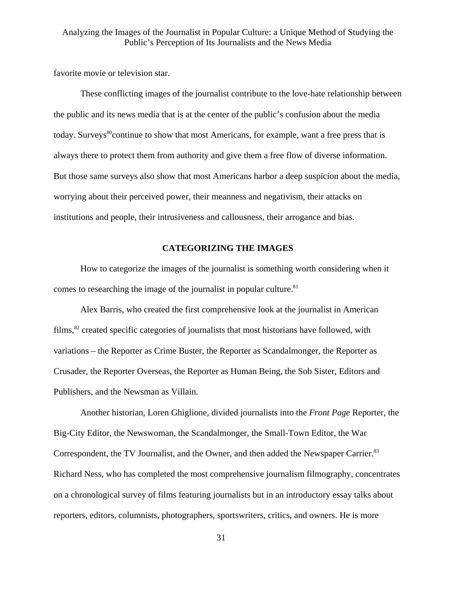favorite movie or television star.

 These conflicting images of the journalist contribute to the love-hate relationship between the public and its news media that is at the center of the public's confusion about the media today. Surveys<sup>80</sup>continue to show that most Americans, for example, want a free press that is always there to protect them from authority and give them a free flow of diverse information. But those same surveys also show that most Americans harbor a deep suspicion about the media, worrying about their perceived power, their meanness and negativism, their attacks on institutions and people, their intrusiveness and callousness, their arrogance and bias.

## **CATEGORIZING THE IMAGES**

 How to categorize the images of the journalist is something worth considering when it comes to researching the image of the journalist in popular culture.<sup>[81](#page-50-22)</sup>

 Alex Barris, who created the first comprehensive look at the journalist in American films,<sup>82</sup> created specific categories of journalists that most historians have followed, with variations – the Reporter as Crime Buster, the Reporter as Scandalmonger, the Reporter as Crusader, the Reporter Overseas, the Reporter as Human Being, the Sob Sister, Editors and Publishers, and the Newsman as Villain.

 Another historian, Loren Ghiglione, divided journalists into the *Front Page* Reporter, the Big-City Editor, the Newswoman, the Scandalmonger, the Small-Town Editor, the War Correspondent, the TV Journalist, and the Owner, and then added the Newspaper Carrier.<sup>83</sup> Richard Ness, who has completed the most comprehensive journalism filmography, concentrates on a chronological survey of films featuring journalists but in an introductory essay talks about reporters, editors, columnists, photographers, sportswriters, critics, and owners. He is more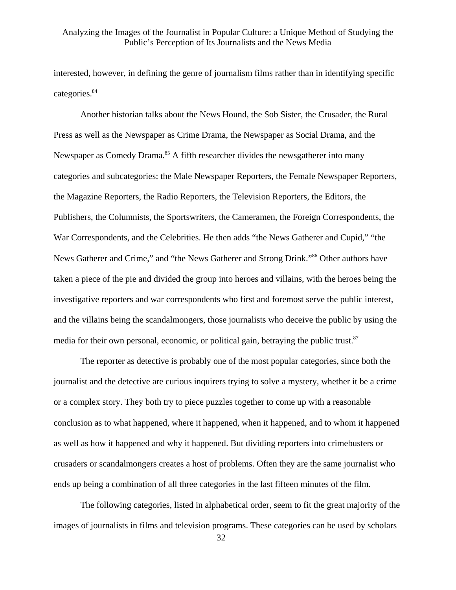interested, however, in defining the genre of journalism films rather than in identifying specific categories.<sup>84</sup>

 Another historian talks about the News Hound, the Sob Sister, the Crusader, the Rural Press as well as the Newspaper as Crime Drama, the Newspaper as Social Drama, and the Newspaper as Comedy Drama.<sup>85</sup> A fifth researcher divides the newsgatherer into many categories and subcategories: the Male Newspaper Reporters, the Female Newspaper Reporters, the Magazine Reporters, the Radio Reporters, the Television Reporters, the Editors, the Publishers, the Columnists, the Sportswriters, the Cameramen, the Foreign Correspondents, the War Correspondents, and the Celebrities. He then adds "the News Gatherer and Cupid," "the News Gatherer and Crime," and "the News Gatherer and Strong Drink."<sup>86</sup> Other authors have taken a piece of the pie and divided the group into heroes and villains, with the heroes being the investigative reporters and war correspondents who first and foremost serve the public interest, and the villains being the scandalmongers, those journalists who deceive the public by using the media for their own personal, economic, or political gain, betraying the public trust. $87$ 

 The reporter as detective is probably one of the most popular categories, since both the journalist and the detective are curious inquirers trying to solve a mystery, whether it be a crime or a complex story. They both try to piece puzzles together to come up with a reasonable conclusion as to what happened, where it happened, when it happened, and to whom it happened as well as how it happened and why it happened. But dividing reporters into crimebusters or crusaders or scandalmongers creates a host of problems. Often they are the same journalist who ends up being a combination of all three categories in the last fifteen minutes of the film.

 The following categories, listed in alphabetical order, seem to fit the great majority of the images of journalists in films and television programs. These categories can be used by scholars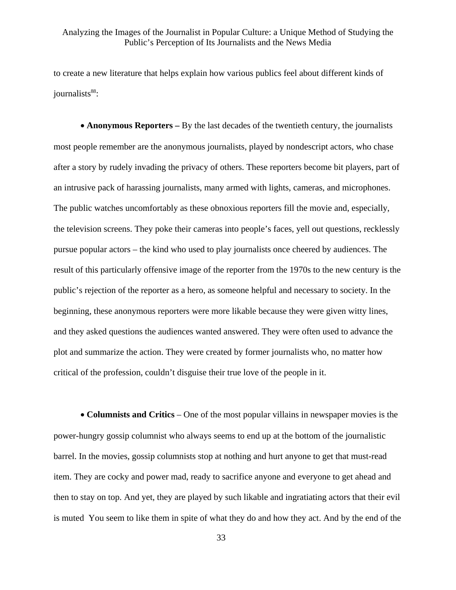to create a new literature that helps explain how various publics feel about different kinds of iournalists<sup>88</sup>:

• **Anonymous Reporters** – By the last decades of the twentieth century, the journalists most people remember are the anonymous journalists, played by nondescript actors, who chase after a story by rudely invading the privacy of others. These reporters become bit players, part of an intrusive pack of harassing journalists, many armed with lights, cameras, and microphones. The public watches uncomfortably as these obnoxious reporters fill the movie and, especially, the television screens. They poke their cameras into people's faces, yell out questions, recklessly pursue popular actors – the kind who used to play journalists once cheered by audiences. The result of this particularly offensive image of the reporter from the 1970s to the new century is the public's rejection of the reporter as a hero, as someone helpful and necessary to society. In the beginning, these anonymous reporters were more likable because they were given witty lines, and they asked questions the audiences wanted answered. They were often used to advance the plot and summarize the action. They were created by former journalists who, no matter how critical of the profession, couldn't disguise their true love of the people in it.

• **Columnists and Critics** – One of the most popular villains in newspaper movies is the power-hungry gossip columnist who always seems to end up at the bottom of the journalistic barrel. In the movies, gossip columnists stop at nothing and hurt anyone to get that must-read item. They are cocky and power mad, ready to sacrifice anyone and everyone to get ahead and then to stay on top. And yet, they are played by such likable and ingratiating actors that their evil is muted You seem to like them in spite of what they do and how they act. And by the end of the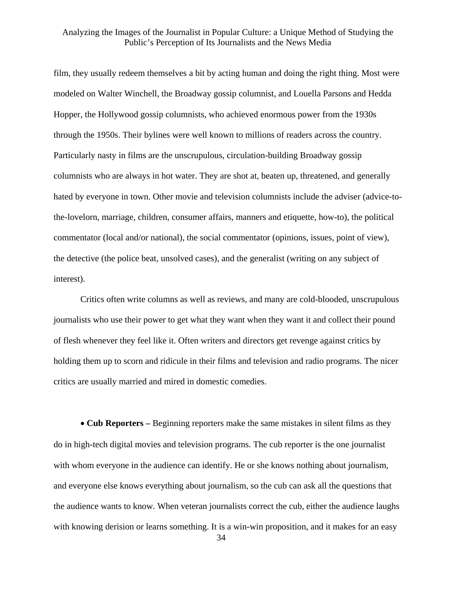film, they usually redeem themselves a bit by acting human and doing the right thing. Most were modeled on Walter Winchell, the Broadway gossip columnist, and Louella Parsons and Hedda Hopper, the Hollywood gossip columnists, who achieved enormous power from the 1930s through the 1950s. Their bylines were well known to millions of readers across the country. Particularly nasty in films are the unscrupulous, circulation-building Broadway gossip columnists who are always in hot water. They are shot at, beaten up, threatened, and generally hated by everyone in town. Other movie and television columnists include the adviser (advice-tothe-lovelorn, marriage, children, consumer affairs, manners and etiquette, how-to), the political commentator (local and/or national), the social commentator (opinions, issues, point of view), the detective (the police beat, unsolved cases), and the generalist (writing on any subject of interest).

 Critics often write columns as well as reviews, and many are cold-blooded, unscrupulous journalists who use their power to get what they want when they want it and collect their pound of flesh whenever they feel like it. Often writers and directors get revenge against critics by holding them up to scorn and ridicule in their films and television and radio programs. The nicer critics are usually married and mired in domestic comedies.

• **Cub Reporters –** Beginning reporters make the same mistakes in silent films as they do in high-tech digital movies and television programs. The cub reporter is the one journalist with whom everyone in the audience can identify. He or she knows nothing about journalism, and everyone else knows everything about journalism, so the cub can ask all the questions that the audience wants to know. When veteran journalists correct the cub, either the audience laughs with knowing derision or learns something. It is a win-win proposition, and it makes for an easy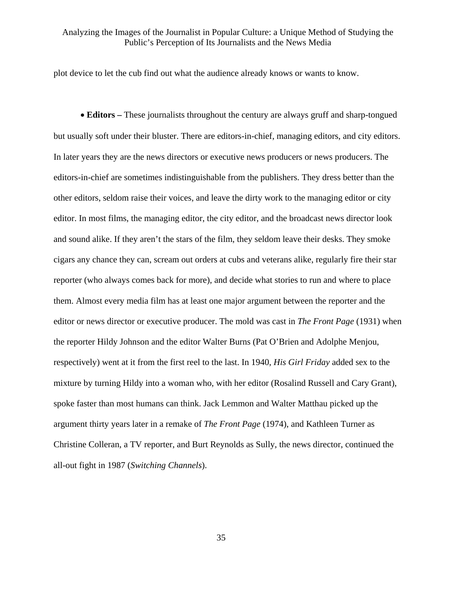plot device to let the cub find out what the audience already knows or wants to know.

• **Editors** – These journalists throughout the century are always gruff and sharp-tongued but usually soft under their bluster. There are editors-in-chief, managing editors, and city editors. In later years they are the news directors or executive news producers or news producers. The editors-in-chief are sometimes indistinguishable from the publishers. They dress better than the other editors, seldom raise their voices, and leave the dirty work to the managing editor or city editor. In most films, the managing editor, the city editor, and the broadcast news director look and sound alike. If they aren't the stars of the film, they seldom leave their desks. They smoke cigars any chance they can, scream out orders at cubs and veterans alike, regularly fire their star reporter (who always comes back for more), and decide what stories to run and where to place them. Almost every media film has at least one major argument between the reporter and the editor or news director or executive producer. The mold was cast in *The Front Page* (1931) when the reporter Hildy Johnson and the editor Walter Burns (Pat O'Brien and Adolphe Menjou, respectively) went at it from the first reel to the last. In 1940, *His Girl Friday* added sex to the mixture by turning Hildy into a woman who, with her editor (Rosalind Russell and Cary Grant), spoke faster than most humans can think. Jack Lemmon and Walter Matthau picked up the argument thirty years later in a remake of *The Front Page* (1974), and Kathleen Turner as Christine Colleran, a TV reporter, and Burt Reynolds as Sully, the news director, continued the all-out fight in 1987 (*Switching Channels*).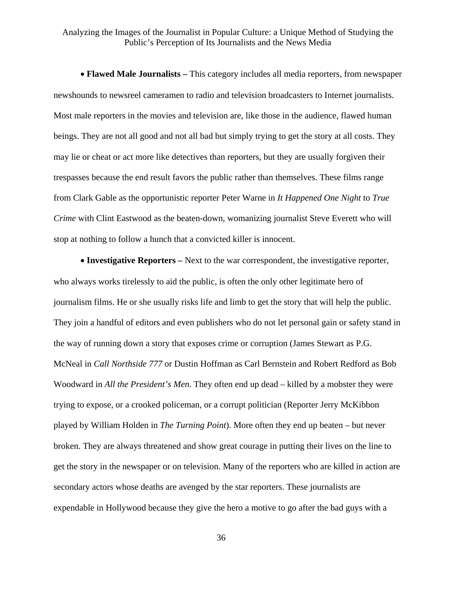• **Flawed Male Journalists –** This category includes all media reporters, from newspaper newshounds to newsreel cameramen to radio and television broadcasters to Internet journalists. Most male reporters in the movies and television are, like those in the audience, flawed human beings. They are not all good and not all bad but simply trying to get the story at all costs. They may lie or cheat or act more like detectives than reporters, but they are usually forgiven their trespasses because the end result favors the public rather than themselves. These films range from Clark Gable as the opportunistic reporter Peter Warne in *It Happened One Night* to *True Crime* with Clint Eastwood as the beaten-down, womanizing journalist Steve Everett who will stop at nothing to follow a hunch that a convicted killer is innocent.

• **Investigative Reporters –** Next to the war correspondent, the investigative reporter, who always works tirelessly to aid the public, is often the only other legitimate hero of journalism films. He or she usually risks life and limb to get the story that will help the public. They join a handful of editors and even publishers who do not let personal gain or safety stand in the way of running down a story that exposes crime or corruption (James Stewart as P.G. McNeal in *Call Northside 777* or Dustin Hoffman as Carl Bernstein and Robert Redford as Bob Woodward in *All the President's Men*. They often end up dead – killed by a mobster they were trying to expose, or a crooked policeman, or a corrupt politician (Reporter Jerry McKibbon played by William Holden in *The Turning Point*). More often they end up beaten – but never broken. They are always threatened and show great courage in putting their lives on the line to get the story in the newspaper or on television. Many of the reporters who are killed in action are secondary actors whose deaths are avenged by the star reporters. These journalists are expendable in Hollywood because they give the hero a motive to go after the bad guys with a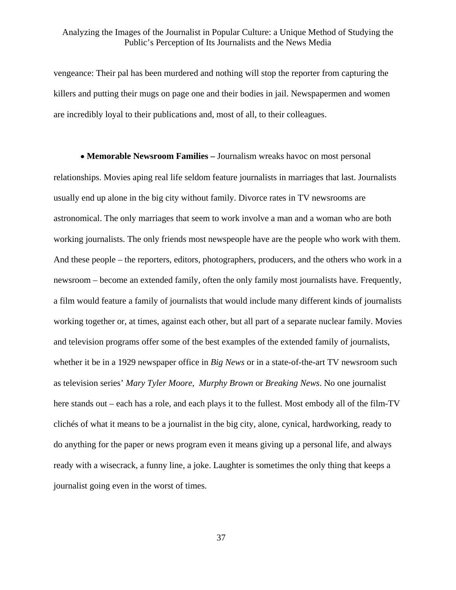vengeance: Their pal has been murdered and nothing will stop the reporter from capturing the killers and putting their mugs on page one and their bodies in jail. Newspapermen and women are incredibly loyal to their publications and, most of all, to their colleagues.

• **Memorable Newsroom Families –** Journalism wreaks havoc on most personal relationships. Movies aping real life seldom feature journalists in marriages that last. Journalists usually end up alone in the big city without family. Divorce rates in TV newsrooms are astronomical. The only marriages that seem to work involve a man and a woman who are both working journalists. The only friends most newspeople have are the people who work with them. And these people – the reporters, editors, photographers, producers, and the others who work in a newsroom – become an extended family, often the only family most journalists have. Frequently, a film would feature a family of journalists that would include many different kinds of journalists working together or, at times, against each other, but all part of a separate nuclear family. Movies and television programs offer some of the best examples of the extended family of journalists, whether it be in a 1929 newspaper office in *Big News* or in a state-of-the-art TV newsroom such as television series' *Mary Tyler Moore, Murphy Brown* or *Breaking News*. No one journalist here stands out – each has a role, and each plays it to the fullest. Most embody all of the film-TV clichés of what it means to be a journalist in the big city, alone, cynical, hardworking, ready to do anything for the paper or news program even it means giving up a personal life, and always ready with a wisecrack, a funny line, a joke. Laughter is sometimes the only thing that keeps a journalist going even in the worst of times.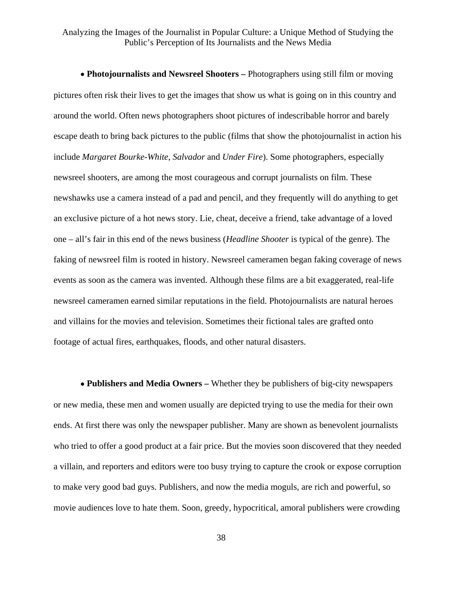• **Photojournalists and Newsreel Shooters –** Photographers using still film or moving pictures often risk their lives to get the images that show us what is going on in this country and around the world. Often news photographers shoot pictures of indescribable horror and barely escape death to bring back pictures to the public (films that show the photojournalist in action his include *Margaret Bourke-White*, *Salvador* and *Under Fire*). Some photographers, especially newsreel shooters, are among the most courageous and corrupt journalists on film. These newshawks use a camera instead of a pad and pencil, and they frequently will do anything to get an exclusive picture of a hot news story. Lie, cheat, deceive a friend, take advantage of a loved one – all's fair in this end of the news business (*Headline Shooter* is typical of the genre). The faking of newsreel film is rooted in history. Newsreel cameramen began faking coverage of news events as soon as the camera was invented. Although these films are a bit exaggerated, real-life newsreel cameramen earned similar reputations in the field. Photojournalists are natural heroes and villains for the movies and television. Sometimes their fictional tales are grafted onto footage of actual fires, earthquakes, floods, and other natural disasters.

• **Publishers and Media Owners –** Whether they be publishers of big-city newspapers or new media, these men and women usually are depicted trying to use the media for their own ends. At first there was only the newspaper publisher. Many are shown as benevolent journalists who tried to offer a good product at a fair price. But the movies soon discovered that they needed a villain, and reporters and editors were too busy trying to capture the crook or expose corruption to make very good bad guys. Publishers, and now the media moguls, are rich and powerful, so movie audiences love to hate them. Soon, greedy, hypocritical, amoral publishers were crowding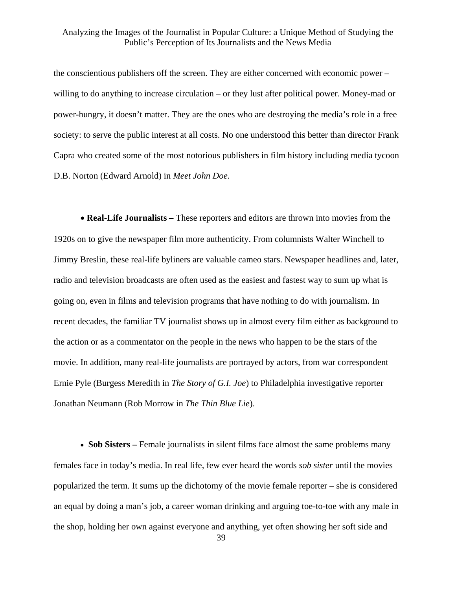the conscientious publishers off the screen. They are either concerned with economic power – willing to do anything to increase circulation – or they lust after political power. Money-mad or power-hungry, it doesn't matter. They are the ones who are destroying the media's role in a free society: to serve the public interest at all costs. No one understood this better than director Frank Capra who created some of the most notorious publishers in film history including media tycoon D.B. Norton (Edward Arnold) in *Meet John Doe*.

• **Real-Life Journalists –** These reporters and editors are thrown into movies from the 1920s on to give the newspaper film more authenticity. From columnists Walter Winchell to Jimmy Breslin, these real-life byliners are valuable cameo stars. Newspaper headlines and, later, radio and television broadcasts are often used as the easiest and fastest way to sum up what is going on, even in films and television programs that have nothing to do with journalism. In recent decades, the familiar TV journalist shows up in almost every film either as background to the action or as a commentator on the people in the news who happen to be the stars of the movie. In addition, many real-life journalists are portrayed by actors, from war correspondent Ernie Pyle (Burgess Meredith in *The Story of G.I. Joe*) to Philadelphia investigative reporter Jonathan Neumann (Rob Morrow in *The Thin Blue Lie*).

• **Sob Sisters** – Female journalists in silent films face almost the same problems many females face in today's media. In real life, few ever heard the words *sob sister* until the movies popularized the term. It sums up the dichotomy of the movie female reporter – she is considered an equal by doing a man's job, a career woman drinking and arguing toe-to-toe with any male in the shop, holding her own against everyone and anything, yet often showing her soft side and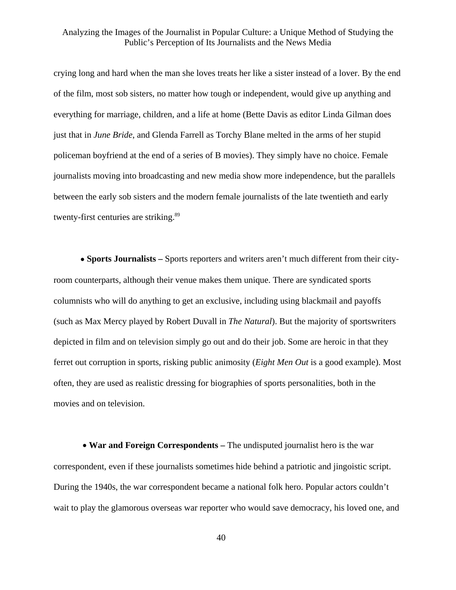crying long and hard when the man she loves treats her like a sister instead of a lover. By the end of the film, most sob sisters, no matter how tough or independent, would give up anything and everything for marriage, children, and a life at home (Bette Davis as editor Linda Gilman does just that in *June Bride*, and Glenda Farrell as Torchy Blane melted in the arms of her stupid policeman boyfriend at the end of a series of B movies). They simply have no choice. Female journalists moving into broadcasting and new media show more independence, but the parallels between the early sob sisters and the modern female journalists of the late twentieth and early twenty-first centuries are striking.<sup>[89](#page-50-25)</sup>

• **Sports Journalists –** Sports reporters and writers aren't much different from their cityroom counterparts, although their venue makes them unique. There are syndicated sports columnists who will do anything to get an exclusive, including using blackmail and payoffs (such as Max Mercy played by Robert Duvall in *The Natural*). But the majority of sportswriters depicted in film and on television simply go out and do their job. Some are heroic in that they ferret out corruption in sports, risking public animosity (*Eight Men Out* is a good example). Most often, they are used as realistic dressing for biographies of sports personalities, both in the movies and on television.

• **War and Foreign Correspondents –** The undisputed journalist hero is the war correspondent, even if these journalists sometimes hide behind a patriotic and jingoistic script. During the 1940s, the war correspondent became a national folk hero. Popular actors couldn't wait to play the glamorous overseas war reporter who would save democracy, his loved one, and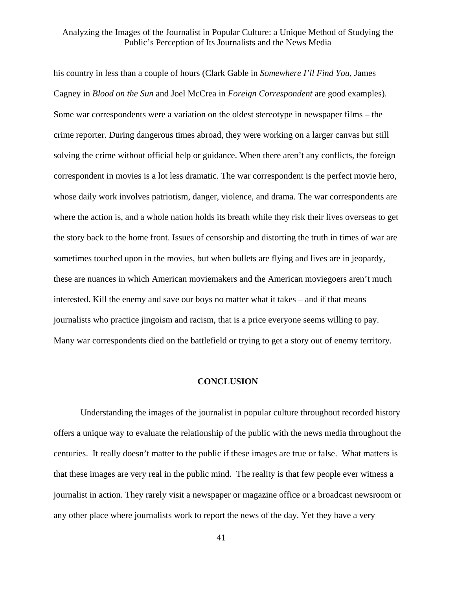his country in less than a couple of hours (Clark Gable in *Somewhere I'll Find You*, James Cagney in *Blood on the Sun* and Joel McCrea in *Foreign Correspondent* are good examples). Some war correspondents were a variation on the oldest stereotype in newspaper films – the crime reporter. During dangerous times abroad, they were working on a larger canvas but still solving the crime without official help or guidance. When there aren't any conflicts, the foreign correspondent in movies is a lot less dramatic. The war correspondent is the perfect movie hero, whose daily work involves patriotism, danger, violence, and drama. The war correspondents are where the action is, and a whole nation holds its breath while they risk their lives overseas to get the story back to the home front. Issues of censorship and distorting the truth in times of war are sometimes touched upon in the movies, but when bullets are flying and lives are in jeopardy, these are nuances in which American moviemakers and the American moviegoers aren't much interested. Kill the enemy and save our boys no matter what it takes – and if that means journalists who practice jingoism and racism, that is a price everyone seems willing to pay. Many war correspondents died on the battlefield or trying to get a story out of enemy territory.

#### **CONCLUSION**

 Understanding the images of the journalist in popular culture throughout recorded history offers a unique way to evaluate the relationship of the public with the news media throughout the centuries. It really doesn't matter to the public if these images are true or false. What matters is that these images are very real in the public mind. The reality is that few people ever witness a journalist in action. They rarely visit a newspaper or magazine office or a broadcast newsroom or any other place where journalists work to report the news of the day. Yet they have a very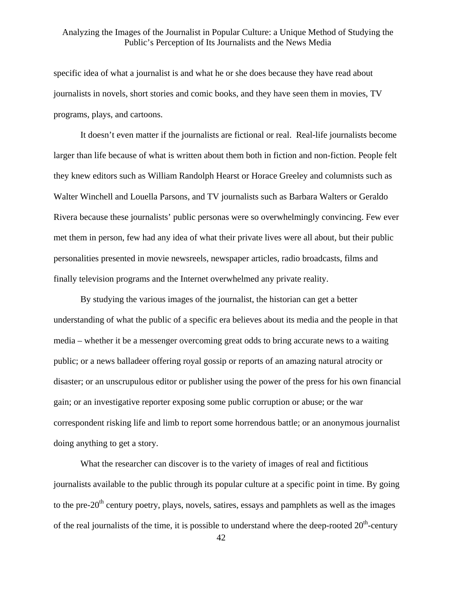specific idea of what a journalist is and what he or she does because they have read about journalists in novels, short stories and comic books, and they have seen them in movies, TV programs, plays, and cartoons.

 It doesn't even matter if the journalists are fictional or real. Real-life journalists become larger than life because of what is written about them both in fiction and non-fiction. People felt they knew editors such as William Randolph Hearst or Horace Greeley and columnists such as Walter Winchell and Louella Parsons, and TV journalists such as Barbara Walters or Geraldo Rivera because these journalists' public personas were so overwhelmingly convincing. Few ever met them in person, few had any idea of what their private lives were all about, but their public personalities presented in movie newsreels, newspaper articles, radio broadcasts, films and finally television programs and the Internet overwhelmed any private reality.

 By studying the various images of the journalist, the historian can get a better understanding of what the public of a specific era believes about its media and the people in that media – whether it be a messenger overcoming great odds to bring accurate news to a waiting public; or a news balladeer offering royal gossip or reports of an amazing natural atrocity or disaster; or an unscrupulous editor or publisher using the power of the press for his own financial gain; or an investigative reporter exposing some public corruption or abuse; or the war correspondent risking life and limb to report some horrendous battle; or an anonymous journalist doing anything to get a story.

 What the researcher can discover is to the variety of images of real and fictitious journalists available to the public through its popular culture at a specific point in time. By going to the pre- $20<sup>th</sup>$  century poetry, plays, novels, satires, essays and pamphlets as well as the images of the real journalists of the time, it is possible to understand where the deep-rooted  $20<sup>th</sup>$ -century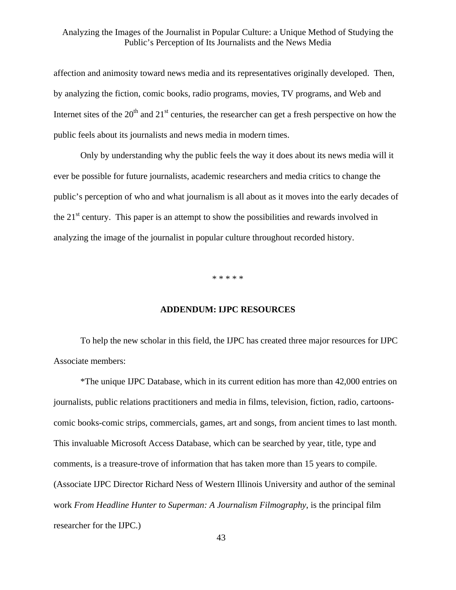affection and animosity toward news media and its representatives originally developed. Then, by analyzing the fiction, comic books, radio programs, movies, TV programs, and Web and Internet sites of the  $20<sup>th</sup>$  and  $21<sup>st</sup>$  centuries, the researcher can get a fresh perspective on how the public feels about its journalists and news media in modern times.

 Only by understanding why the public feels the way it does about its news media will it ever be possible for future journalists, academic researchers and media critics to change the public's perception of who and what journalism is all about as it moves into the early decades of the  $21<sup>st</sup>$  century. This paper is an attempt to show the possibilities and rewards involved in analyzing the image of the journalist in popular culture throughout recorded history.

\* \* \* \* \*

#### **ADDENDUM: IJPC RESOURCES**

To help the new scholar in this field, the IJPC has created three major resources for IJPC Associate members:

 \*The unique IJPC Database, which in its current edition has more than 42,000 entries on journalists, public relations practitioners and media in films, television, fiction, radio, cartoonscomic books-comic strips, commercials, games, art and songs, from ancient times to last month. This invaluable Microsoft Access Database, which can be searched by year, title, type and comments, is a treasure-trove of information that has taken more than 15 years to compile. (Associate IJPC Director Richard Ness of Western Illinois University and author of the seminal work *From Headline Hunter to Superman: A Journalism Filmography*, is the principal film researcher for the IJPC.)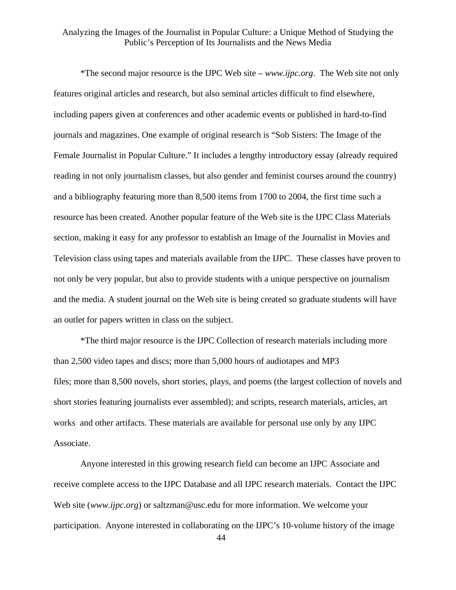\*The second major resource is the IJPC Web site – *www.ijpc.org*. The Web site not only features original articles and research, but also seminal articles difficult to find elsewhere, including papers given at conferences and other academic events or published in hard-to-find journals and magazines. One example of original research is "Sob Sisters: The Image of the Female Journalist in Popular Culture." It includes a lengthy introductory essay (already required reading in not only journalism classes, but also gender and feminist courses around the country) and a bibliography featuring more than 8,500 items from 1700 to 2004, the first time such a resource has been created. Another popular feature of the Web site is the IJPC Class Materials section, making it easy for any professor to establish an Image of the Journalist in Movies and Television class using tapes and materials available from the IJPC. These classes have proven to not only be very popular, but also to provide students with a unique perspective on journalism and the media. A student journal on the Web site is being created so graduate students will have an outlet for papers written in class on the subject.

 \*The third major resource is the IJPC Collection of research materials including more than 2,500 video tapes and discs; more than 5,000 hours of audiotapes and MP3 files; more than 8,500 novels, short stories, plays, and poems (the largest collection of novels and short stories featuring journalists ever assembled); and scripts, research materials, articles, art works and other artifacts. These materials are available for personal use only by any IJPC Associate.

 Anyone interested in this growing research field can become an IJPC Associate and receive complete access to the IJPC Database and all IJPC research materials. Contact the IJPC Web site (*www.ijpc.org*) or saltzman@usc.edu for more information. We welcome your participation. Anyone interested in collaborating on the IJPC's 10-volume history of the image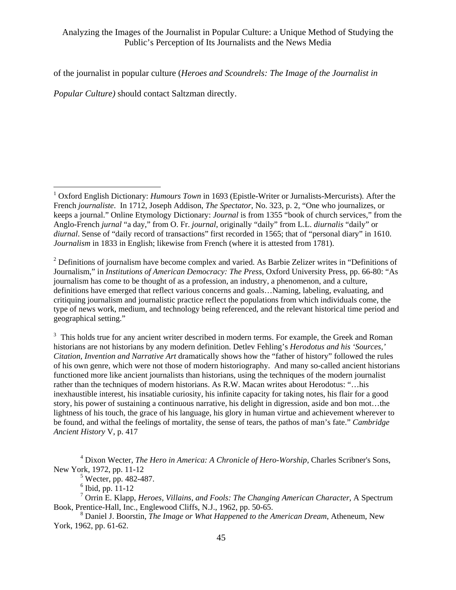of the journalist in popular culture (*Heroes and Scoundrels: The Image of the Journalist in* 

*Popular Culture)* should contact Saltzman directly.

1

 $2$  Definitions of journalism have become complex and varied. As Barbie Zelizer writes in "Definitions of Journalism," in *Institutions of American Democracy: The Press*, Oxford University Press, pp. 66-80: "As journalism has come to be thought of as a profession, an industry, a phenomenon, and a culture, definitions have emerged that reflect various concerns and goals…Naming, labeling, evaluating, and critiquing journalism and journalistic practice reflect the populations from which individuals come, the type of news work, medium, and technology being referenced, and the relevant historical time period and geographical setting."

<sup>3</sup> This holds true for any ancient writer described in modern terms. For example, the Greek and Roman historians are not historians by any modern definition. Detlev Fehling's *Herodotus and his 'Sources,' Citation, Invention and Narrative Art* dramatically shows how the "father of history" followed the rules of his own genre, which were not those of modern historiography. And many so-called ancient historians functioned more like ancient journalists than historians, using the techniques of the modern journalist rather than the techniques of modern historians. As R.W. Macan writes about Herodotus: "…his inexhaustible interest, his insatiable curiosity, his infinite capacity for taking notes, his flair for a good story, his power of sustaining a continuous narrative, his delight in digression, aside and bon mot…the lightness of his touch, the grace of his language, his glory in human virtue and achievement wherever to be found, and withal the feelings of mortality, the sense of tears, the pathos of man's fate." *Cambridge Ancient History* V, p. 417

 $<sup>5</sup>$  Wecter, pp. 482-487.</sup>

 $6$  Ibid, pp.  $11-12$ 

7 Orrin E. Klapp, *Heroes, Villains, and Fools: The Changing American Character*, A Spectrum Book, Prentice-Hall, Inc., Englewood Cliffs, N.J., 1962, pp. 50-65.

8 Daniel J. Boorstin, *The Image or What Happened to the American Dream*, Atheneum, New York, 1962, pp. 61-62.

<sup>&</sup>lt;sup>1</sup> Oxford English Dictionary: *Humours Town* in 1693 (Epistle-Writer or Jurnalists-Mercurists). After the French *journaliste*. In 1712, Joseph Addison, *The Spectator*, No. 323, p. 2, "One who journalizes, or keeps a journal." Online Etymology Dictionary: *Journal* is from 1355 "book of church services," from the Anglo-French *jurnal* "a day," from O. Fr. *journal*, originally "daily" from L.L. *diurnalis* "daily" or *diurnal*. Sense of "daily record of transactions" first recorded in 1565; that of "personal diary" in 1610. *Journalism* in 1833 in English; likewise from French (where it is attested from 1781).

<sup>4</sup> Dixon Wecter, *The Hero in America: A Chronicle of Hero-Worship*, Charles Scribner's Sons, New York, 1972, pp. 11-12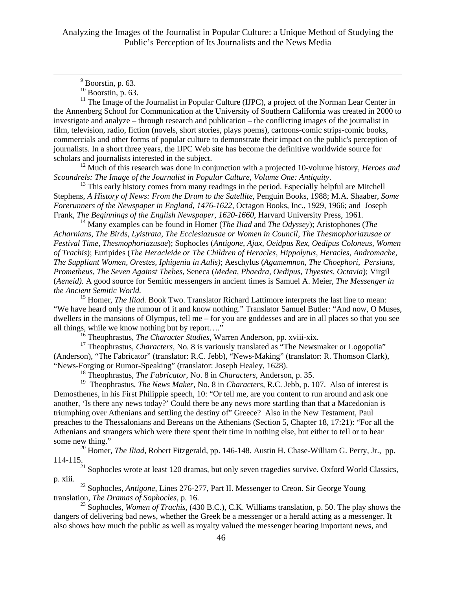$11$  The Image of the Journalist in Popular Culture (IJPC), a project of the Norman Lear Center in the Annenberg School for Communication at the University of Southern California was created in 2000 to investigate and analyze – through research and publication – the conflicting images of the journalist in film, television, radio, fiction (novels, short stories, plays poems), cartoons-comic strips-comic books, commercials and other forms of popular culture to demonstrate their impact on the public's perception of journalists. In a short three years, the IJPC Web site has become the definitive worldwide source for scholars and journalists interested in the subject.

12 Much of this research was done in conjunction with a projected 10-volume history, *Heroes and Scoundrels: The Image of the Journalist in Popular Culture, Volume One: Antiquity.*<br><sup>13</sup> This early history comes from many readings in the period. Especially helpful are Mitchell

Stephens, *A History of News: From the Drum to the Satellite*, Penguin Books, 1988; M.A. Shaaber, *Some Forerunners of the Newspaper in England, 1476-1622,* Octagon Books, Inc., 1929, 1966; and Joseph Frank, *The Beginnings of the English Newspaper, 1620-1660*, Harvard University Press, 1961*.* 14 Many examples can be found in Homer (*The Iliad* and *The Odyssey*); Aristophones (*The* 

*Acharnians, The Birds*, *Lyistrata*, *The Ecclesiazusae or Women in Council, The Thesmophoriazusae or Festival Time, Thesmophoriazusae*); Sophocles (*Antigone, Ajax, Oeidpus Rex*, *Oedipus Coloneus, Women of Trachis*); Euripides (*The Heracleide or The Children of Heracles, Hippolytus, Heracles, Andromache, The Suppliant Women, Orestes, Iphigenia in Aulis)*; Aeschylus (*Agamemnon, The Choephori, Persians, Prometheus, The Seven Against Thebes,* Seneca (*Medea, Phaedra, Oedipus, Thyestes, Octavia*); Virgil (*Aeneid).* A good source for Semitic messengers in ancient times is Samuel A. Meier, *The Messenger in the Ancient Semitic World.*

<sup>15</sup> Homer, *The Iliad.* Book Two. Translator Richard Lattimore interprets the last line to mean: "We have heard only the rumour of it and know nothing." Translator Samuel Butler: "And now, O Muses, dwellers in the mansions of Olympus, tell me – for you are goddesses and are in all places so that you see all things, while we know nothing but by report…."

16 Theophrastus, *The Character Studies*, Warren Anderson, pp. xviii-xix.

<sup>17</sup> Theophrastus, *Characters*, No. 8 is variously translated as "The Newsmaker or Logopoiia" (Anderson), "The Fabricator" (translator: R.C. Jebb), "News-Making" (translator: R. Thomson Clark), "News-Forging or Rumor-Speaking" (translator: Joseph Healey, 1628).

18 Theophrastus, *The Fabricator*, No. 8 in *Characters,* Anderson, p. 35.

19 Theophrastus, *The News Maker*, No. 8 in *Characters,* R.C. Jebb, p. 107. Also of interest is Demosthenes, in his First Philippie speech, 10: "Or tell me, are you content to run around and ask one another, 'Is there any news today?' Could there be any news more startling than that a Macedonian is triumphing over Athenians and settling the destiny of" Greece? Also in the New Testament, Paul preaches to the Thessalonians and Bereans on the Athenians (Section 5, Chapter 18, 17:21): "For all the Athenians and strangers which were there spent their time in nothing else, but either to tell or to hear some new thing."

<sup>20</sup> Homer, *The Iliad*, Robert Fitzgerald, pp. 146-148. Austin H. Chase-William G. Perry, Jr., pp. 114-115.

 $21$  Sophocles wrote at least 120 dramas, but only seven tragedies survive. Oxford World Classics, p. xiii.

22 Sophocles, *Antigone*, Lines 276-277, Part II. Messenger to Creon. Sir George Young translation, *The Dramas of Sophocles,* p. 16.

23 Sophocles, *Women of Trachis,* (430 B.C.), C.K. Williams translation, p. 50. The play shows the dangers of delivering bad news, whether the Greek be a messenger or a herald acting as a messenger. It also shows how much the public as well as royalty valued the messenger bearing important news, and

 $\frac{1}{\sqrt{9}}$  $<sup>9</sup>$  Boorstin, p. 63.</sup>

 $10$  Boorstin, p. 63.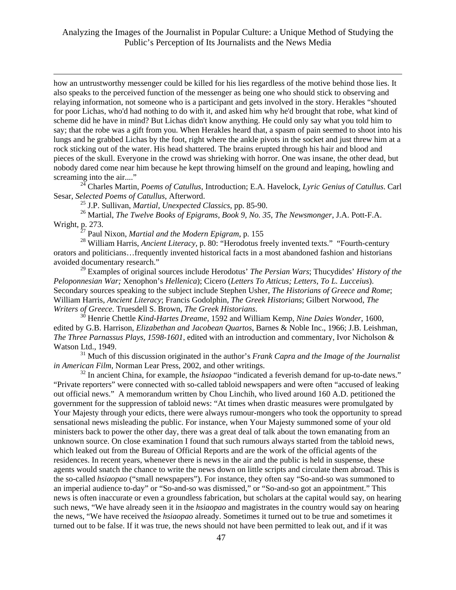how an untrustworthy messenger could be killed for his lies regardless of the motive behind those lies. It also speaks to the perceived function of the messenger as being one who should stick to observing and relaying information, not someone who is a participant and gets involved in the story. Herakles "shouted for poor Lichas, who'd had nothing to do with it, and asked him why he'd brought that robe, what kind of scheme did he have in mind? But Lichas didn't know anything. He could only say what you told him to say; that the robe was a gift from you. When Herakles heard that, a spasm of pain seemed to shoot into his lungs and he grabbed Lichas by the foot, right where the ankle pivots in the socket and just threw him at a rock sticking out of the water. His head shattered. The brains erupted through his hair and blood and pieces of the skull. Everyone in the crowd was shrieking with horror. One was insane, the other dead, but nobody dared come near him because he kept throwing himself on the ground and leaping, howling and screaming into the air...."

24 Charles Martin, *Poems of Catullus*, Introduction; E.A. Havelock, *Lyric Genius of Catullus*. Carl Sesar, *Selected Poems of Catullus*, Afterword.

25 J.P. Sullivan, *Martial, Unexpected Classics*, pp. 85-90.

1

26 Martial, *The Twelve Books of Epigrams, Book 9, No. 35*, *The Newsmonger*, J.A. Pott-F.A. Wright, p. 273.

27 Paul Nixon, *Martial and the Modern Epigram*, p. 155

<sup>28</sup> William Harris, *Ancient Literacy*, p. 80: "Herodotus freely invented texts." "Fourth-century orators and politicians…frequently invented historical facts in a most abandoned fashion and historians avoided documentary research."

29 Examples of original sources include Herodotus' *The Persian Wars*; Thucydides' *History of the Peloponnesian War;* Xenophon's *Hellenica*); Cicero (*Letters To Atticus; Letters*, *To L. Lucceius*). Secondary sources speaking to the subject include Stephen Usher, *The Historians of Greece and Rome*; William Harris, *Ancient Literacy*; Francis Godolphin, *The Greek Historians*; Gilbert Norwood, *The Writers of Greece*. Truesdell S. Brown, *The Greek Historians*. 30 Henrie Chettle *Kind-Hartes Dreame,* 1592 and William Kemp, *Nine Daies Wonder*, 1600,

edited by G.B. Harrison, *Elizabethan and Jacobean Quartos*, Barnes & Noble Inc., 1966; J.B. Leishman, *The Three Parnassus Plays, 1598-1601,* edited with an introduction and commentary, Ivor Nicholson & Watson Ltd., 1949.

31 Much of this discussion originated in the author's *Frank Capra and the Image of the Journalist in American Film,* Norman Lear Press, 2002, and other writings.

32 In ancient China, for example, the *hsiaopao* "indicated a feverish demand for up-to-date news." "Private reporters" were connected with so-called tabloid newspapers and were often "accused of leaking out official news." A memorandum written by Chou Linchih, who lived around 160 A.D. petitioned the government for the suppression of tabloid news: "At times when drastic measures were promulgated by Your Majesty through your edicts, there were always rumour-mongers who took the opportunity to spread sensational news misleading the public. For instance, when Your Majesty summoned some of your old ministers back to power the other day, there was a great deal of talk about the town emanating from an unknown source. On close examination I found that such rumours always started from the tabloid news, which leaked out from the Bureau of Official Reports and are the work of the official agents of the residences. In recent years, whenever there is news in the air and the public is held in suspense, these agents would snatch the chance to write the news down on little scripts and circulate them abroad. This is the so-called *hsiaopao* ("small newspapers"). For instance, they often say "So-and-so was summoned to an imperial audience to-day" or "So-and-so was dismissed," or "So-and-so got an appointment." This news is often inaccurate or even a groundless fabrication, but scholars at the capital would say, on hearing such news, "We have already seen it in the *hsiaopao* and magistrates in the country would say on hearing the news, "We have received the *hsiaopao* already. Sometimes it turned out to be true and sometimes it turned out to be false. If it was true, the news should not have been permitted to leak out, and if it was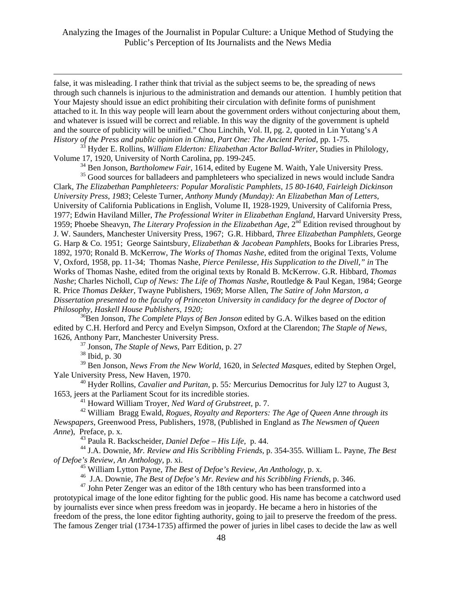false, it was misleading. I rather think that trivial as the subject seems to be, the spreading of news through such channels is injurious to the administration and demands our attention. I humbly petition that Your Majesty should issue an edict prohibiting their circulation with definite forms of punishment attached to it. In this way people will learn about the government orders without conjecturing about them, and whatever is issued will be correct and reliable. In this way the dignity of the government is upheld and the source of publicity will be unified." Chou Linchih, Vol. II, pg. 2, quoted in Lin Yutang's *A History of the Press and public opinion in China, Part One: The Ancient Period,* pp. 1-75.

33 Hyder E. Rollins, *William Elderton: Elizabethan Actor Ballad-Writer,* Studies in Philology, Volume 17, 1920, University of North Carolina, pp. 199-245.

34 Ben Jonson, *Bartholomew Fair,* 1614, edited by Eugene M. Waith, Yale University Press.

<sup>35</sup> Good sources for balladeers and pamphleteers who specialized in news would include Sandra Clark, *The Elizabethan Pamphleteers: Popular Moralistic Pamphlets, 15 80-1640, Fairleigh Dickinson University Press, 1983*; Celeste Turner, *Anthony Mundy (Munday): An Elizabethan Man of Letters,*  University of California Publications in English, Volume II, 1928-1929, University of California Press, 1977; Edwin Haviland Miller, *The Professional Writer in Elizabethan England*, Harvard University Press, 1959; Phoebe Sheavyn, *The Literary Profession in the Elizabethan Age*, 2nd Edition revised throughout by J. W. Saunders, Manchester University Press, 1967; G.R. Hibbard, *Three Elizabethan Pamphlets,* George G. Harp & Co. 1951; George Saintsbury, *Elizabethan & Jacobean Pamphlets*, Books for Libraries Press, 1892, 1970; Ronald B. McKerrow, *The Works of Thomas Nashe*, edited from the original Texts, Volume V, Oxford, 1958, pp. 11-34; Thomas Nashe, *Pierce Penilesse, His Supplication to the Divell," in* The Works of Thomas Nashe, edited from the original texts by Ronald B. McKerrow. G.R. Hibbard, *Thomas Nashe*; Charles Nicholl, *Cup of News: The Life of Thomas Nashe*, Routledge & Paul Kegan, 1984; George R. Price *Thomas Dekker*, Twayne Publishers, 1969; Morse Allen, *The Satire of John Marston, a Dissertation presented to the faculty of Princeton University in candidacy for the degree of Doctor of Philosophy, Haskell House Publishers, 1920;*

<sup>36</sup>Ben Jonson, *The Complete Plays of Ben Jonson* edited by G.A. Wilkes based on the edition edited by C.H. Herford and Percy and Evelyn Simpson, Oxford at the Clarendon; *The Staple of News,*  1626, Anthony Parr, Manchester University Press.

37 Jonson, *The Staple of News*, Parr Edition, p. 27

38 Ibid, p. 30

1

39 Ben Jonson, *News From the New World,* 1620, in *Selected Masques*, edited by Stephen Orgel, Yale University Press, New Haven, 1970.

40 Hyder Rollins, *Cavalier and Puritan*, p. 55*:* Mercurius Democritus for July l27 to August 3, 1653, jeers at the Parliament Scout for its incredible stories.

41 Howard William Troyer, *Ned Ward of Grubstreet,* p. 7.

42 William Bragg Ewald, *Rogues, Royalty and Reporters: The Age of Queen Anne through its Newspapers*, Greenwood Press, Publishers, 1978, (Published in England as *The Newsmen of Queen Anne*), Preface, p. x.

43 Paula R. Backscheider, *Daniel Defoe – His Life,* p. 44.

44 J.A. Downie, *Mr. Review and His Scribbling Friends,* p. 354-355. William L. Payne, *The Best of Defoe's Review, An Anthology*, p. xi.

45 William Lytton Payne, *The Best of Defoe's Review, An Anthology*, p. x.

<sup>46</sup> J.A. Downie, *The Best of Defoe's Mr. Review and his Scribbling Friends*, p. 346.

 $47$  John Peter Zenger was an editor of the 18th century who has been transformed into a

prototypical image of the lone editor fighting for the public good. His name has become a catchword used by journalists ever since when press freedom was in jeopardy. He became a hero in histories of the freedom of the press, the lone editor fighting authority, going to jail to preserve the freedom of the press. The famous Zenger trial (1734-1735) affirmed the power of juries in libel cases to decide the law as well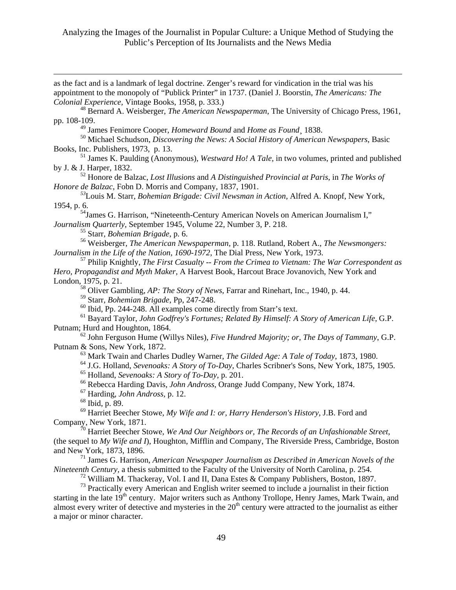1 as the fact and is a landmark of legal doctrine. Zenger's reward for vindication in the trial was his appointment to the monopoly of "Publick Printer" in 1737. (Daniel J. Boorstin, *The Americans: The Colonial Experience,* Vintage Books, 1958, p. 333.) 48 Bernard A. Weisberger, *The American Newspaperman*, The University of Chicago Press, 1961, pp. 108-109. 49 James Fenimore Cooper, *Homeward Bound* and *Home as Found*¸ 1838. 50 Michael Schudson, *Discovering the News: A Social History of American Newspapers*, Basic Books, Inc. Publishers, 1973, p. 13. 51 James K. Paulding (Anonymous), *Westward Ho! A Tale,* in two volumes, printed and published by J. & J. Harper, 1832. 52 Honore de Balzac, *Lost Illusions* and *A Distinguished Provincial at Paris*, in *The Works of Honore de Balzac*, Fobn D. Morris and Company, 1837, 1901. *<sup>53</sup>*Louis M. Starr, *Bohemian Brigade: Civil Newsman in Action,* Alfred A. Knopf, New York, 1954, p. 6. 54James G. Harrison, "Nineteenth-Century American Novels on American Journalism I," *Journalism Quarterly*, September 1945, Volume 22, Number 3, P. 218. 55 Starr, *Bohemian Brigade*, p. 6. 56 Weisberger, *The American Newspaperman,* p. 118. Rutland, Robert A., *The Newsmongers: Journalism in the Life of the Nation, 1690-1972*, The Dial Press, New York, 1973. 57 Philip Knightly, *The First Casualty -- From the Crimea to Vietnam: The War Correspondent as Hero, Propagandist and Myth Maker,* A Harvest Book, Harcout Brace Jovanovich, New York and London, 1975, p. 21. 58 Oliver Gambling, *AP: The Story of News*, Farrar and Rinehart, Inc., 1940, p. 44. 59 Starr, *Bohemian Brigade*, Pp, 247-248.  $60$  Ibid, Pp. 244-248. All examples come directly from Starr's text. 61 Bayard Taylor, *John Godfrey's Fortunes; Related By Himself: A Story of American Life,* G.P. Putnam; Hurd and Houghton, 1864. 62 John Ferguson Hume (Willys Niles), *Five Hundred Majority; or, The Days of Tammany*, G.P. Putnam & Sons, New York, 1872. 63 Mark Twain and Charles Dudley Warner, *The Gilded Age: A Tale of Today*, 1873, 1980. 64 J.G. Holland, *Sevenoaks: A Story of To-Day*, Charles Scribner's Sons, New York, 1875, 1905. 65 Holland, *Sevenoaks: A Story of To-Day*, p. 201. 66 Rebecca Harding Davis, *John Andross*, Orange Judd Company, New York, 1874. 67 Harding, *John Andross,* p. 12. 68 Ibid, p. 89. 69 Harriet Beecher Stowe, *My Wife and I: or, Harry Henderson's History*, J.B. Ford and Company, New York, 1871. <sup>70</sup> Harriet Beecher Stowe, *We And Our Neighbors or, The Records of an Unfashionable Street*, (the sequel to *My Wife and I*), Houghton, Mifflin and Company, The Riverside Press, Cambridge, Boston and New York, 1873, 1896. 71 James G. Harrison, *American Newspaper Journalism as Described in American Novels of the Nineteenth Century,* a thesis submitted to the Faculty of the University of North Carolina, p. 254. <sup>72</sup> William M. Thackeray, Vol. I and II, Dana Estes & Company Publishers, Boston, 1897. <sup>73</sup> Practically every American and English writer seemed to include a journalist in their fiction starting in the late 19<sup>th</sup> century. Major writers such as Anthony Trollope, Henry James, Mark Twain, and almost every writer of detective and mysteries in the  $20<sup>th</sup>$  century were attracted to the journalist as either

a major or minor character.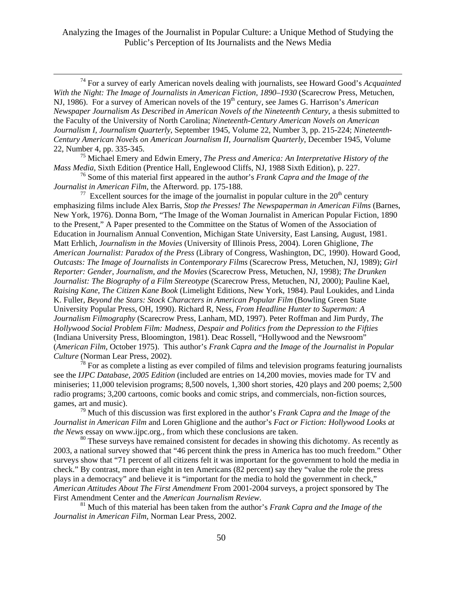74 For a survey of early American novels dealing with journalists, see Howard Good's *Acquainted With the Night: The Image of Journalists in American Fiction, 1890–1930* (Scarecrow Press, Metuchen, NJ, 1986). For a survey of American novels of the 19<sup>th</sup> century, see James G. Harrison's *American Newspaper Journalism As Described in American Novels of the Nineteenth Century*, a thesis submitted to the Faculty of the University of North Carolina; *Nineteenth-Century American Novels on American Journalism I, Journalism Quarterly*, September 1945, Volume 22, Number 3, pp. 215-224; *Nineteenth-Century American Novels on American Journalism II*, *Journalism Quarterly*, December 1945, Volume 22, Number 4, pp. 335-345.

75 Michael Emery and Edwin Emery, *The Press and America: An Interpretative History of the Mass Media,* Sixth Edition (Prentice Hall, Englewood Cliffs, NJ, 1988 Sixth Edition), p. 227.

76 Some of this material first appeared in the author's *Frank Capra and the Image of the Journalist in American Film*, the Afterword. pp. 175-188.

<sup>77</sup> Excellent sources for the image of the journalist in popular culture in the  $20<sup>th</sup>$  century emphasizing films include Alex Barris, *Stop the Presses! The Newspaperman in American Films* (Barnes, New York, 1976). Donna Born, "The Image of the Woman Journalist in American Popular Fiction, 1890 to the Present," A Paper presented to the Committee on the Status of Women of the Association of Education in Journalism Annual Convention, Michigan State University, East Lansing, August, 1981. Matt Erhlich, *Journalism in the Movies* (University of Illinois Press, 2004). Loren Ghiglione, *The American Journalist: Paradox of the Press* (Library of Congress, Washington, DC, 1990). Howard Good, *Outcasts: The Image of Journalists in Contemporary Films* (Scarecrow Press, Metuchen, NJ, 1989); *Girl Reporter: Gender, Journalism, and the Movies* (Scarecrow Press, Metuchen, NJ, 1998); *The Drunken Journalist: The Biography of a Film Stereotype* (Scarecrow Press, Metuchen, NJ, 2000); Pauline Kael, *Raising Kane*, *The Citizen Kane Book* (Limelight Editions, New York, 1984). Paul Loukides, and Linda K. Fuller, *Beyond the Stars: Stock Characters in American Popular Film* (Bowling Green State University Popular Press, OH, 1990). Richard R, Ness, *From Headline Hunter to Superman: A Journalism Filmography* (Scarecrow Press, Lanham, MD, 1997). Peter Roffman and Jim Purdy, *The Hollywood Social Problem Film: Madness, Despair and Politics from the Depression to the Fifties* (Indiana University Press, Bloomington, 1981). Deac Rossell, "Hollywood and the Newsroom" (*American Film*, October 1975). This author's *Frank Capra and the Image of the Journalist in Popular Culture* (Norman Lear Press, 2002).

 $78$  For as complete a listing as ever compiled of films and television programs featuring journalists see the *IJPC Database, 2005 Edition* (included are entries on 14,200 movies, movies made for TV and miniseries; 11,000 television programs; 8,500 novels, 1,300 short stories, 420 plays and 200 poems; 2,500 radio programs; 3,200 cartoons, comic books and comic strips, and commercials, non-fiction sources, games, art and music).

79 Much of this discussion was first explored in the author's *Frank Capra and the Image of the Journalist in American Film* and Loren Ghiglione and the author's *Fact or Fiction: Hollywood Looks at the News* essay on www.ijpc.org., from which these conclusions are taken.

 $80$  These surveys have remained consistent for decades in showing this dichotomy. As recently as 2003, a national survey showed that "46 percent think the press in America has too much freedom." Other surveys show that "71 percent of all citizens felt it was important for the government to hold the media in check." By contrast, more than eight in ten Americans (82 percent) say they "value the role the press plays in a democracy" and believe it is "important for the media to hold the government in check," *American Attitudes About The First Amendment* From 2001-2004 surveys, a project sponsored by The First Amendment Center and the *American Journalism Review*.<br><sup>81</sup> Much of this material has been taken from the author's *Frank Capra and the Image of the* 

*Journalist in American Film,* Norman Lear Press, 2002.